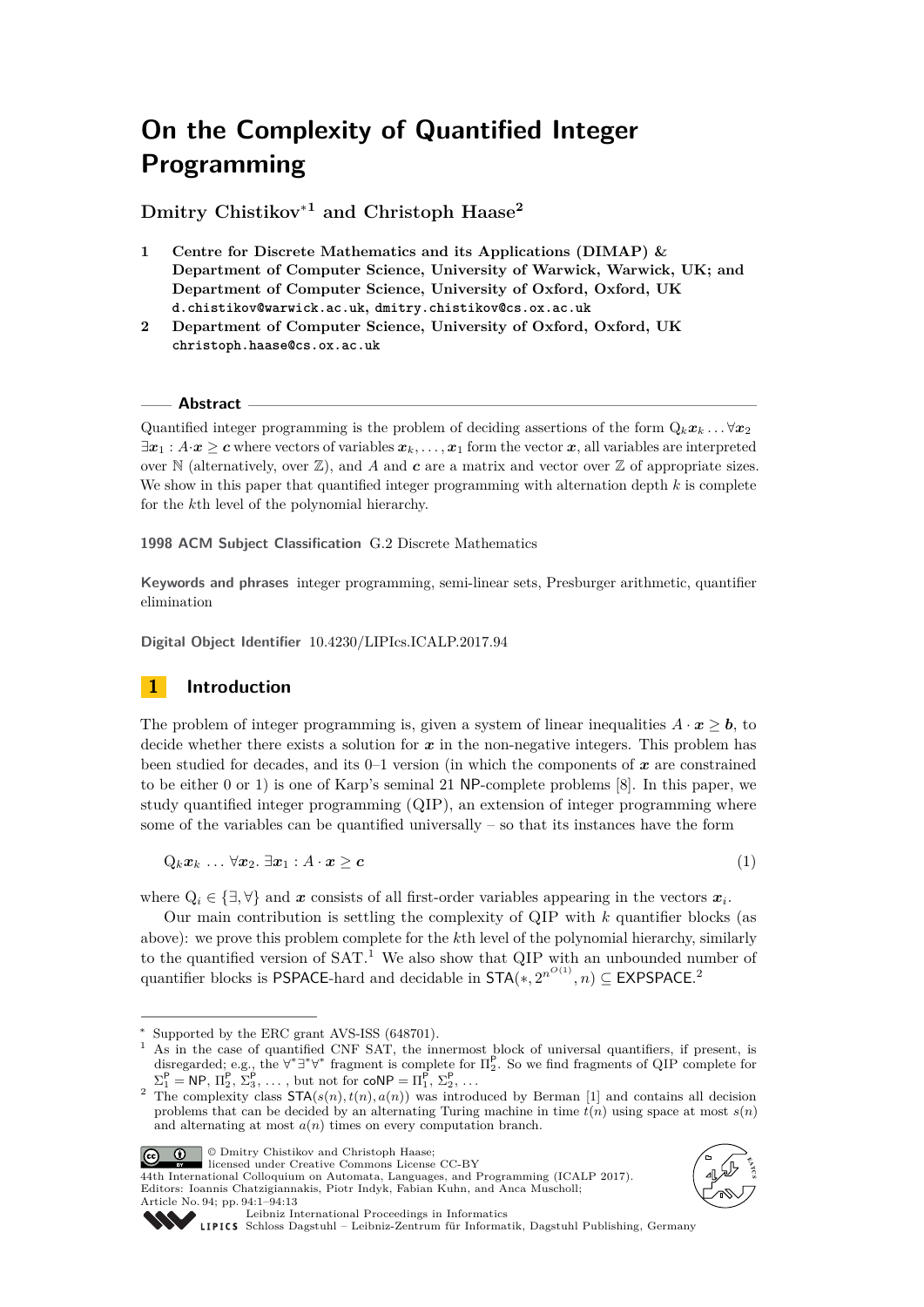# **On the Complexity of Quantified Integer Programming**

**Dmitry Chistikov**<sup>∗</sup>**<sup>1</sup> and Christoph Haase<sup>2</sup>**

- **1 Centre for Discrete Mathematics and its Applications (DIMAP) & Department of Computer Science, University of Warwick, Warwick, UK; and Department of Computer Science, University of Oxford, Oxford, UK d.chistikov@warwick.ac.uk, dmitry.chistikov@cs.ox.ac.uk**
- **2 Department of Computer Science, University of Oxford, Oxford, UK christoph.haase@cs.ox.ac.uk**

## **Abstract**

Quantified integer programming is the problem of deciding assertions of the form  $Q_k x_k \ldots \forall x_2$  $\exists x_1 : A \cdot x \geq c$  where vectors of variables  $x_k, \ldots, x_1$  form the vector x, all variables are interpreted over  $\mathbb N$  (alternatively, over  $\mathbb Z$ ), and *A* and *c* are a matrix and vector over  $\mathbb Z$  of appropriate sizes. We show in this paper that quantified integer programming with alternation depth *k* is complete for the *k*th level of the polynomial hierarchy.

**1998 ACM Subject Classification** G.2 Discrete Mathematics

**Keywords and phrases** integer programming, semi-linear sets, Presburger arithmetic, quantifier elimination

**Digital Object Identifier** [10.4230/LIPIcs.ICALP.2017.94](http://dx.doi.org/10.4230/LIPIcs.ICALP.2017.94)

# **1 Introduction**

The problem of integer programming is, given a system of linear inequalities  $A \cdot x \geq b$ , to decide whether there exists a solution for  $x$  in the non-negative integers. This problem has been studied for decades, and its 0–1 version (in which the components of *x* are constrained to be either 0 or 1) is one of Karp's seminal 21 NP-complete problems [\[8\]](#page-12-0). In this paper, we study quantified integer programming (QIP), an extension of integer programming where some of the variables can be quantified universally – so that its instances have the form

 $Q_k x_k \dots \forall x_2 \ \exists x_1 : A \cdot x \geq c$  (1)

where  $Q_i \in \{\exists, \forall\}$  and *x* consists of all first-order variables appearing in the vectors  $x_i$ .

Our main contribution is settling the complexity of QIP with *k* quantifier blocks (as above): we prove this problem complete for the *k*th level of the polynomial hierarchy, similarly to the quantified version of SAT.<sup>[1](#page-0-0)</sup> We also show that QIP with an unbounded number of quantifier blocks is PSPACE-hard and decidable in  $\text{STA}(*, 2^{n^{O(1)}}, n) \subseteq \text{EXPSPACE}.^2$  $\text{STA}(*, 2^{n^{O(1)}}, n) \subseteq \text{EXPSPACE}.^2$  $\text{STA}(*, 2^{n^{O(1)}}, n) \subseteq \text{EXPSPACE}.^2$ 

© Dmitry Chistikov and Christoph Haase;

licensed under Creative Commons License CC-BY

44th International Colloquium on Automata, Languages, and Programming (ICALP 2017). Editors: Ioannis Chatzigiannakis, Piotr Indyk, Fabian Kuhn, and Anca Muscholl; Article No. 94; pp. 94:1–94[:13](#page-12-2)

<span id="page-0-2"></span>



[Leibniz International Proceedings in Informatics](http://www.dagstuhl.de/lipics/)

<sup>∗</sup> Supported by the ERC grant AVS-ISS (648701).

<span id="page-0-0"></span><sup>&</sup>lt;sup>1</sup> As in the case of quantified CNF SAT, the innermost block of universal quantifiers, if present, is disregarded; e.g., the  $\forall^* \exists^* \forall^*$  fragment is complete for  $\Pi_2^P$ . So we find fragments of QIP complete for  $\Sigma_1^{\mathsf{P}} = \mathsf{NP}, \, \Pi_2^{\mathsf{P}}, \, \Sigma_3^{\mathsf{P}}, \, \dots, \text{ but not for } \mathsf{coNP} = \Pi_1^{\mathsf{P}}, \, \Sigma_2^{\mathsf{P}}, \, \dots$ 

<span id="page-0-1"></span><sup>&</sup>lt;sup>2</sup> The complexity class  $\text{STA}(s(n), t(n), a(n))$  was introduced by Berman [\[1\]](#page-12-1) and contains all decision problems that can be decided by an alternating Turing machine in time  $t(n)$  using space at most  $s(n)$ and alternating at most  $a(n)$  times on every computation branch.

[Schloss Dagstuhl – Leibniz-Zentrum für Informatik, Dagstuhl Publishing, Germany](http://www.dagstuhl.de)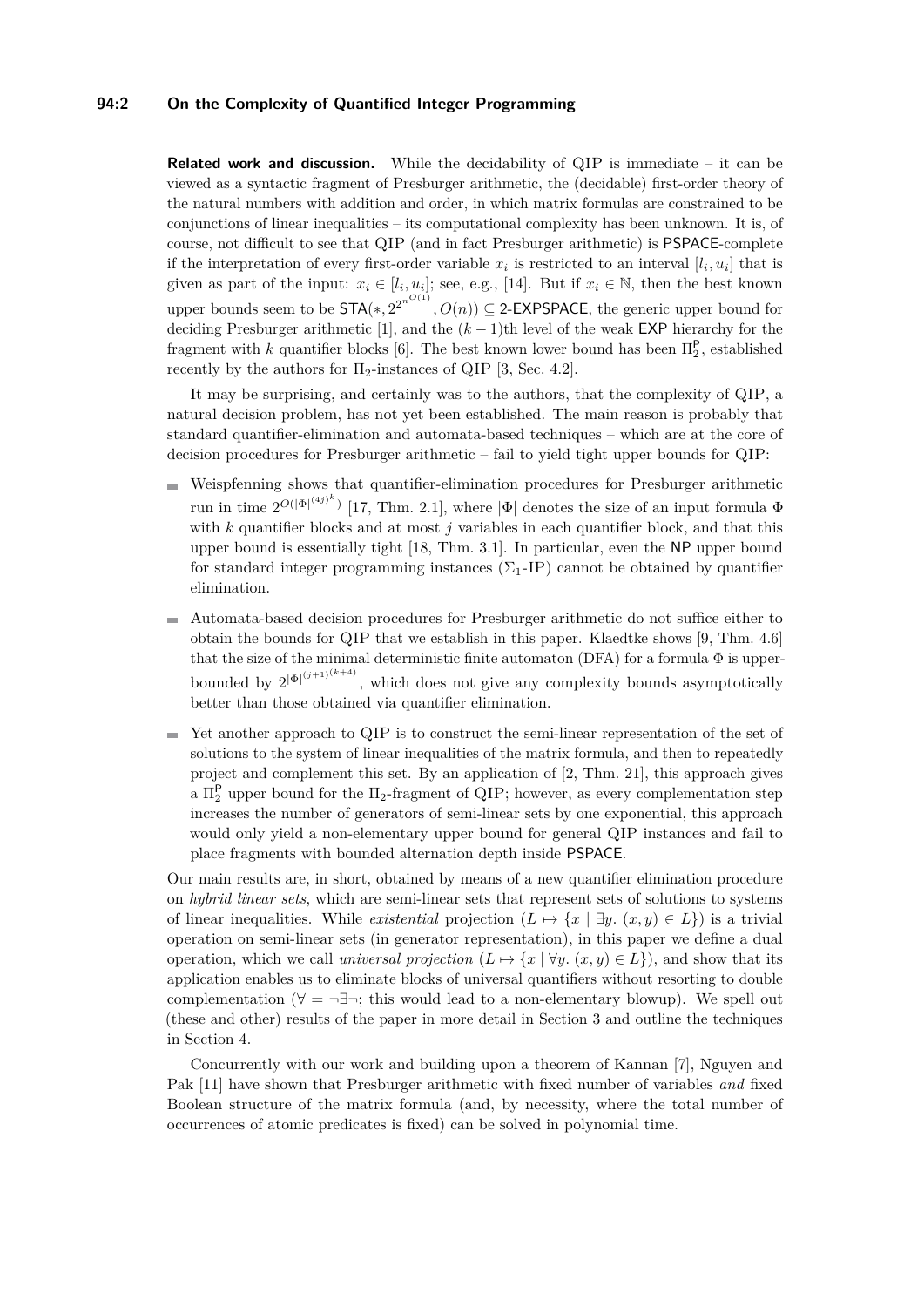## **94:2 On the Complexity of Quantified Integer Programming**

**Related work and discussion.** While the decidability of QIP is immediate – it can be viewed as a syntactic fragment of Presburger arithmetic, the (decidable) first-order theory of the natural numbers with addition and order, in which matrix formulas are constrained to be conjunctions of linear inequalities – its computational complexity has been unknown. It is, of course, not difficult to see that QIP (and in fact Presburger arithmetic) is PSPACE-complete if the interpretation of every first-order variable  $x_i$  is restricted to an interval  $[l_i, u_i]$  that is given as part of the input:  $x_i \in [l_i, u_i]$ ; see, e.g., [\[14\]](#page-12-3). But if  $x_i \in \mathbb{N}$ , then the best known upper bounds seem to be  $\mathsf{STA}(*, 2^{2^{n^{O(1)}}}, O(n)) \subseteq 2\text{-EXPSPACE}$ , the generic upper bound for deciding Presburger arithmetic [\[1\]](#page-12-1), and the (*k* − 1)th level of the weak EXP hierarchy for the fragment with *k* quantifier blocks [\[6\]](#page-12-4). The best known lower bound has been  $\Pi_2^{\mathsf{P}}$ , established recently by the authors for  $\Pi_2$ -instances of QIP [\[3,](#page-12-5) Sec. 4.2].

It may be surprising, and certainly was to the authors, that the complexity of QIP, a natural decision problem, has not yet been established. The main reason is probably that standard quantifier-elimination and automata-based techniques – which are at the core of decision procedures for Presburger arithmetic – fail to yield tight upper bounds for QIP:

- Weispfenning shows that quantifier-elimination procedures for Presburger arithmetic  $\overline{a}$ run in time  $2^{O(|\Phi|^{(4j)^k})}$  [\[17,](#page-12-6) Thm. 2.1], where  $|\Phi|$  denotes the size of an input formula  $\Phi$ with *k* quantifier blocks and at most *j* variables in each quantifier block, and that this upper bound is essentially tight [\[18,](#page-12-7) Thm. 3.1]. In particular, even the NP upper bound for standard integer programming instances  $(\Sigma_1-IP)$  cannot be obtained by quantifier elimination.
- Automata-based decision procedures for Presburger arithmetic do not suffice either to obtain the bounds for QIP that we establish in this paper. Klaedtke shows [\[9,](#page-12-8) Thm. 4.6] that the size of the minimal deterministic finite automaton (DFA) for a formula  $\Phi$  is upperbounded by  $2^{|\Phi|^{(j+1)(k+4)}}$ , which does not give any complexity bounds asymptotically better than those obtained via quantifier elimination.
- Yet another approach to QIP is to construct the semi-linear representation of the set of  $\equiv$ solutions to the system of linear inequalities of the matrix formula, and then to repeatedly project and complement this set. By an application of [\[2,](#page-12-9) Thm. 21], this approach gives a  $\Pi_2^{\mathsf{P}}$  upper bound for the  $\Pi_2$ -fragment of QIP; however, as every complementation step increases the number of generators of semi-linear sets by one exponential, this approach would only yield a non-elementary upper bound for general QIP instances and fail to place fragments with bounded alternation depth inside PSPACE.

Our main results are, in short, obtained by means of a new quantifier elimination procedure on *hybrid linear sets*, which are semi-linear sets that represent sets of solutions to systems of linear inequalities. While *existential* projection  $(L \mapsto \{x \mid \exists y \ldots (x, y) \in L\})$  is a trivial operation on semi-linear sets (in generator representation), in this paper we define a dual operation, which we call *universal projection*  $(L \mapsto \{x \mid \forall y \ldots (x, y) \in L\})$ , and show that its application enables us to eliminate blocks of universal quantifiers without resorting to double complementation ( $\forall$  =  $\neg \exists \neg$ ; this would lead to a non-elementary blowup). We spell out (these and other) results of the paper in more detail in Section [3](#page-3-0) and outline the techniques in Section [4.](#page-5-0)

Concurrently with our work and building upon a theorem of Kannan [\[7\]](#page-12-10), Nguyen and Pak [\[11\]](#page-12-11) have shown that Presburger arithmetic with fixed number of variables *and* fixed Boolean structure of the matrix formula (and, by necessity, where the total number of occurrences of atomic predicates is fixed) can be solved in polynomial time.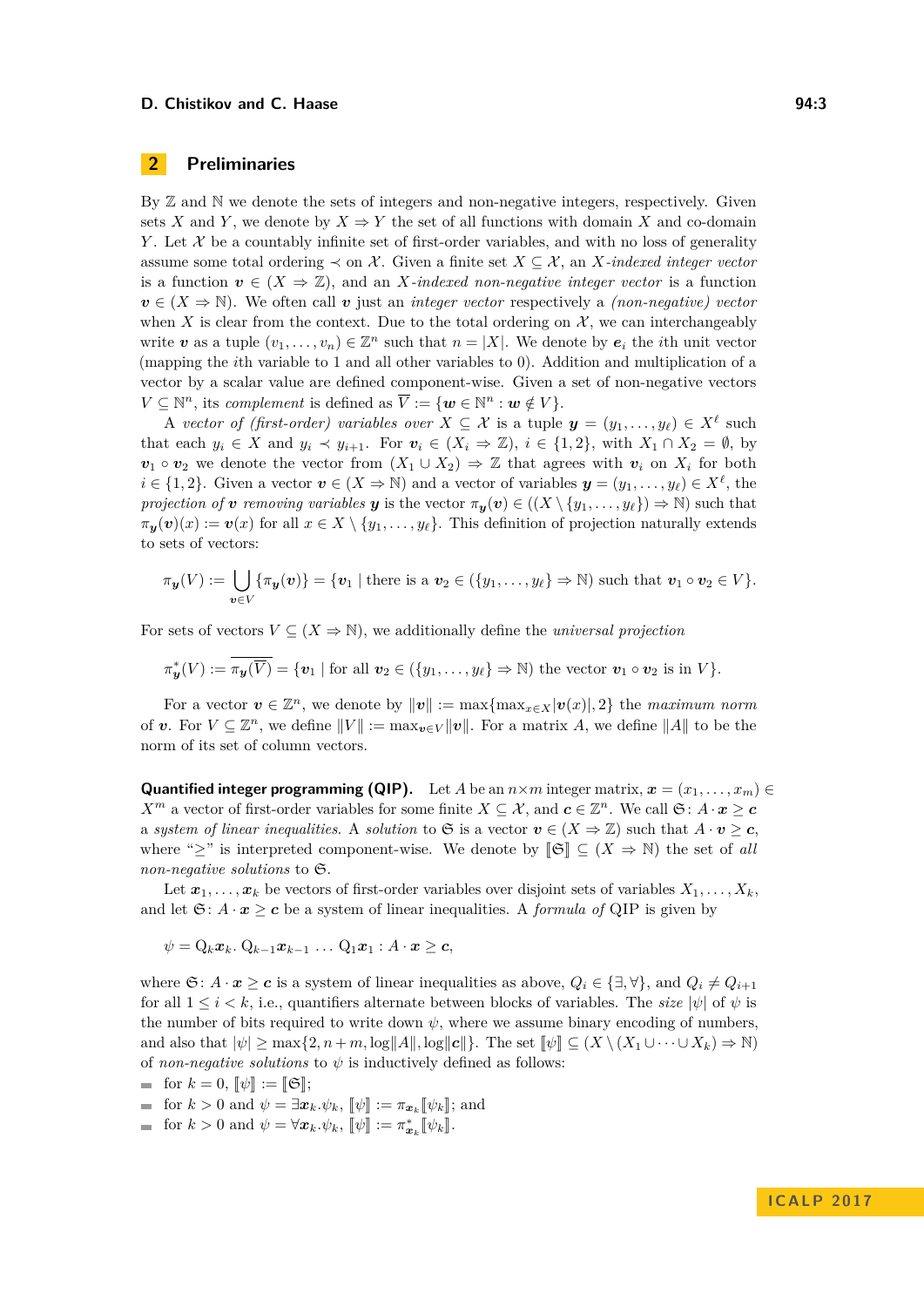## **D. Chistikov and C. Haase 94:3** 94:3

# <span id="page-2-0"></span>**2 Preliminaries**

By  $\mathbb Z$  and  $\mathbb N$  we denote the sets of integers and non-negative integers, respectively. Given sets *X* and *Y*, we denote by  $X \Rightarrow Y$  the set of all functions with domain *X* and co-domain *Y*. Let  $\mathcal X$  be a countably infinite set of first-order variables, and with no loss of generality assume some total ordering  $\prec$  on X. Given a finite set  $X \subseteq \mathcal{X}$ , an X*-indexed integer vector* is a function  $v \in (X \Rightarrow \mathbb{Z})$ , and an *X-indexed non-negative integer vector* is a function  $v \in (X \Rightarrow \mathbb{N})$ . We often call *v* just an *integer vector* respectively a *(non-negative) vector* when X is clear from the context. Due to the total ordering on  $\mathcal{X}$ , we can interchangeably write  $v$  as a tuple  $(v_1, \ldots, v_n) \in \mathbb{Z}^n$  such that  $n = |X|$ . We denote by  $e_i$  the *i*th unit vector (mapping the *i*th variable to 1 and all other variables to 0). Addition and multiplication of a vector by a scalar value are defined component-wise. Given a set of non-negative vectors  $V \subseteq \mathbb{N}^n$ , its *complement* is defined as  $\overline{V} := \{ \boldsymbol{w} \in \mathbb{N}^n : \boldsymbol{w} \notin V \}.$ 

A *vector of (first-order) variables over*  $X \subseteq \mathcal{X}$  is a tuple  $\mathbf{y} = (y_1, \ldots, y_\ell) \in X^\ell$  such that each  $y_i \in X$  and  $y_i \prec y_{i+1}$ . For  $v_i \in (X_i \Rightarrow \mathbb{Z})$ ,  $i \in \{1,2\}$ , with  $X_1 \cap X_2 = \emptyset$ , by  $v_1 \circ v_2$  we denote the vector from  $(X_1 \cup X_2) \Rightarrow \mathbb{Z}$  that agrees with  $v_i$  on  $X_i$  for both  $i \in \{1, 2\}$ . Given a vector  $v \in (X \Rightarrow \mathbb{N})$  and a vector of variables  $y = (y_1, \ldots, y_\ell) \in X^\ell$ , the *projection of v removing variables y* is the vector  $\pi_y(v) \in ((X \setminus \{y_1, \ldots, y_\ell\}) \Rightarrow \mathbb{N})$  such that  $\pi_{\mathbf{v}}(\mathbf{v})(x) := \mathbf{v}(x)$  for all  $x \in X \setminus \{y_1, \ldots, y_\ell\}$ . This definition of projection naturally extends to sets of vectors:

$$
\pi_{\boldsymbol{y}}(V) := \bigcup_{\boldsymbol{v} \in V} \{\pi_{\boldsymbol{y}}(\boldsymbol{v})\} = \{\boldsymbol{v}_1 \mid \text{there is a } \boldsymbol{v}_2 \in (\{y_1, \ldots, y_\ell\} \Rightarrow \mathbb{N}) \text{ such that } \boldsymbol{v}_1 \circ \boldsymbol{v}_2 \in V\}.
$$

For sets of vectors  $V \subseteq (X \Rightarrow \mathbb{N})$ , we additionally define the *universal projection* 

$$
\pi_{\boldsymbol{y}}^*(V) := \pi_{\boldsymbol{y}}(\overline{V}) = \{\boldsymbol{v}_1 \mid \text{for all } \boldsymbol{v}_2 \in (\{y_1, \ldots, y_\ell\} \Rightarrow \mathbb{N}) \text{ the vector } \boldsymbol{v}_1 \circ \boldsymbol{v}_2 \text{ is in } V\}.
$$

For a vector  $\mathbf{v} \in \mathbb{Z}^n$ , we denote by  $\|\mathbf{v}\| := \max\{\max_{x \in X} |\mathbf{v}(x)|, 2\}$  the *maximum norm* of *v*. For  $V \subseteq \mathbb{Z}^n$ , we define  $||V|| := \max_{\mathbf{v} \in V} ||\mathbf{v}||$ . For a matrix A, we define  $||A||$  to be the norm of its set of column vectors.

**Quantified integer programming (QIP).** Let *A* be an  $n \times m$  integer matrix,  $\boldsymbol{x} = (x_1, \dots, x_m) \in$ *X*<sup>*m*</sup> a vector of first-order variables for some finite  $X \subseteq \mathcal{X}$ , and  $c \in \mathbb{Z}^n$ . We call  $\mathfrak{S}: A \cdot x \geq c$ a *system of linear inequalities.* A *solution* to G is a vector  $v \in (X \Rightarrow \mathbb{Z})$  such that  $A \cdot v \geq c$ , where "≥" is interpreted component-wise. We denote by  $\llbracket \mathfrak{S} \rrbracket \subseteq (X \Rightarrow \mathbb{N})$  the set of all *non-negative solutions* to S.

Let  $x_1, \ldots, x_k$  be vectors of first-order variables over disjoint sets of variables  $X_1, \ldots, X_k$ , and let  $\mathfrak{S}: A \cdot \mathbf{x} \geq \mathbf{c}$  be a system of linear inequalities. A *formula of* QIP is given by

$$
\psi = \mathrm{Q}_k \boldsymbol{x}_k. \ \mathrm{Q}_{k-1} \boldsymbol{x}_{k-1} \ \dots \ \mathrm{Q}_1 \boldsymbol{x}_1 : A \cdot \boldsymbol{x} \geq \boldsymbol{c},
$$

where  $\mathfrak{S}: A \cdot \mathbf{x} \geq \mathbf{c}$  is a system of linear inequalities as above,  $Q_i \in \{\exists, \forall\}$ , and  $Q_i \neq Q_{i+1}$ for all  $1 \leq i \leq k$ , i.e., quantifiers alternate between blocks of variables. The *size*  $|\psi|$  of  $\psi$  is the number of bits required to write down  $\psi$ , where we assume binary encoding of numbers, and also that  $|\psi| \ge \max\{2, n+m, \log||A||, \log||c||\}$ . The set  $\llbracket \psi \rrbracket \subseteq (X \setminus (X_1 \cup \cdots \cup X_k) \Rightarrow \mathbb{N})$ of *non-negative solutions* to  $\psi$  is inductively defined as follows:

$$
\quad \text{for } k = 0, \, [\![\psi]\!] := [\![\mathfrak{S}]\!];
$$

for  $k > 0$  and  $\psi = \exists \mathbf{x}_k \cdot \psi_k$ ,  $[\![\psi]\!] := \pi_{\mathbf{x}_k} [\![\psi_k]\!]$ ; and

for  $k > 0$  and  $\psi = \forall x_k \cdot \psi_k$ ,  $[\![\psi]\!] := \pi_{\boldsymbol{x}_k}^*[\![\psi_k]\!]$ .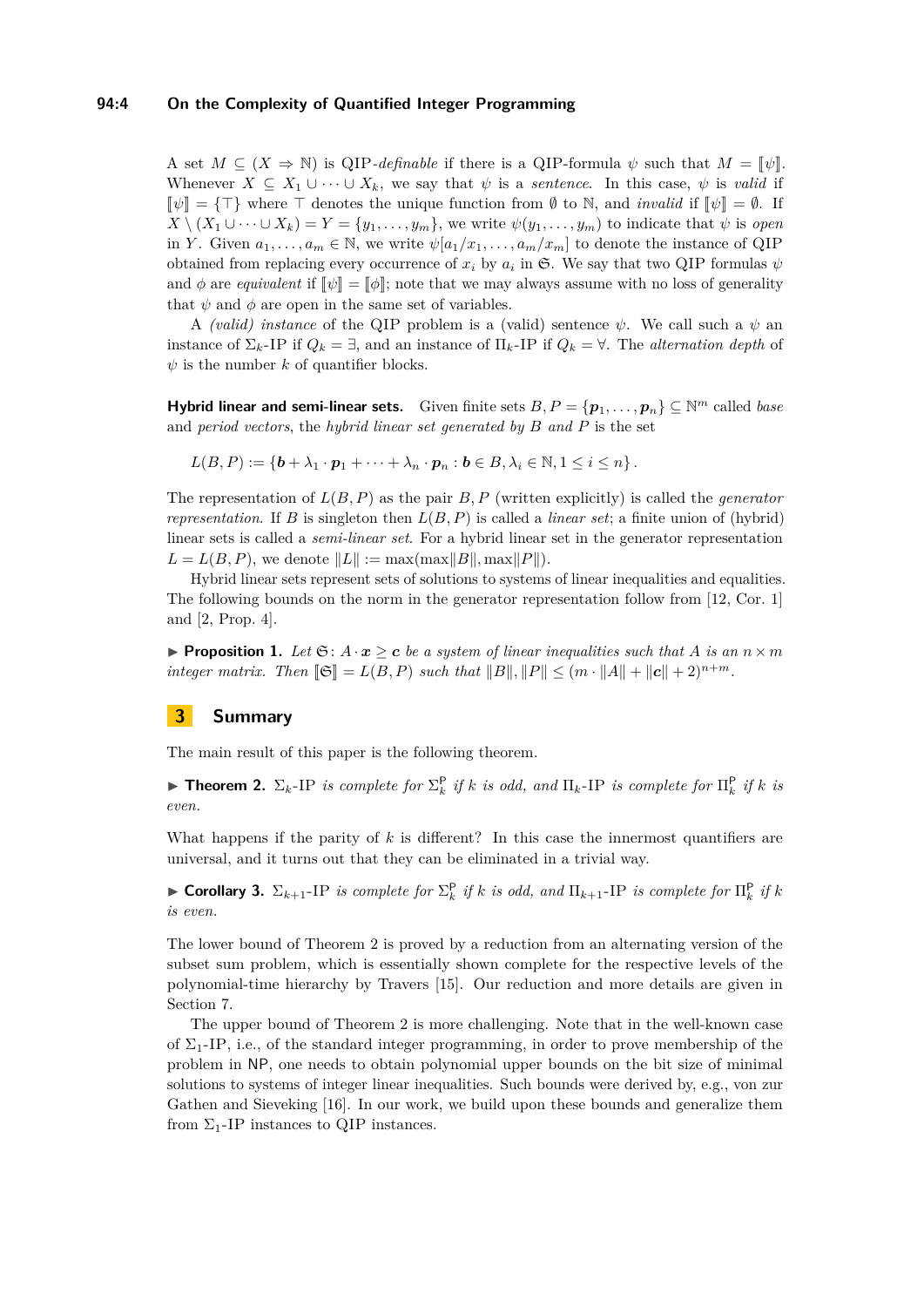## **94:4 On the Complexity of Quantified Integer Programming**

A set  $M \subseteq (X \Rightarrow \mathbb{N})$  is QIP-definable if there is a QIP-formula  $\psi$  such that  $M = \llbracket \psi \rrbracket$ . Whenever  $X \subseteq X_1 \cup \cdots \cup X_k$ , we say that  $\psi$  is a *sentence*. In this case,  $\psi$  is *valid* if  $\llbracket \psi \rrbracket = \{\top\}$  where  $\top$  denotes the unique function from  $\emptyset$  to N, and *invalid* if  $\llbracket \psi \rrbracket = \emptyset$ . If  $X \setminus (X_1 \cup \cdots \cup X_k) = Y = \{y_1, \ldots, y_m\}$ , we write  $\psi(y_1, \ldots, y_m)$  to indicate that  $\psi$  is *open* in *Y*. Given  $a_1, \ldots, a_m \in \mathbb{N}$ , we write  $\psi[a_1/x_1, \ldots, a_m/x_m]$  to denote the instance of QIP obtained from replacing every occurrence of  $x_i$  by  $a_i$  in  $\mathfrak{S}$ . We say that two QIP formulas  $\psi$ and  $\phi$  are *equivalent* if  $[\![\psi]\!] = [\![\phi]\!]$ ; note that we may always assume with no loss of generality that  $\psi$  and  $\phi$  are open in the same set of variables.

A *(valid) instance* of the QIP problem is a (valid) sentence  $\psi$ . We call such a  $\psi$  and instance of  $\Sigma_k$ -IP if  $Q_k = \exists$ , and an instance of  $\Pi_k$ -IP if  $Q_k = \forall$ . The *alternation depth* of  $\psi$  is the number *k* of quantifier blocks.

**Hybrid linear and semi-linear sets.** Given finite sets  $B, P = \{p_1, \ldots, p_n\} \subseteq \mathbb{N}^m$  called *base* and *period vectors*, the *hybrid linear set generated by B and P* is the set

$$
L(B, P) := \left\{ \boldsymbol{b} + \lambda_1 \cdot \boldsymbol{p}_1 + \cdots + \lambda_n \cdot \boldsymbol{p}_n : \boldsymbol{b} \in B, \lambda_i \in \mathbb{N}, 1 \leq i \leq n \right\}.
$$

The representation of *L*(*B, P*) as the pair *B, P* (written explicitly) is called the *generator representation*. If *B* is singleton then  $L(B, P)$  is called a *linear set*; a finite union of (hybrid) linear sets is called a *semi-linear set*. For a hybrid linear set in the generator representation  $L = L(B, P)$ , we denote  $||L|| := \max(\max ||B||, \max ||P||)$ .

Hybrid linear sets represent sets of solutions to systems of linear inequalities and equalities. The following bounds on the norm in the generator representation follow from [\[12,](#page-12-12) Cor. 1] and [\[2,](#page-12-9) Prop. 4].

<span id="page-3-3"></span>**Proposition 1.** Let  $\mathfrak{S}: A \cdot \mathbf{x} > \mathbf{c}$  be a system of linear inequalities such that A is an  $n \times m$ *integer matrix. Then*  $\|\mathfrak{S}\| = L(B, P)$  *such that*  $\|B\|, \|P\| \leq (m \cdot \|A\| + \|c\| + 2)^{n+m}$ .

## <span id="page-3-0"></span>**3 Summary**

The main result of this paper is the following theorem.

<span id="page-3-1"></span>**Fineorem 2.**  $\Sigma_k$ -IP *is complete for*  $\Sigma_k^{\mathsf{P}}$  *if k is odd, and*  $\Pi_k$ -IP *is complete for*  $\Pi_k^{\mathsf{P}}$  *if k is even.*

What happens if the parity of *k* is different? In this case the innermost quantifiers are universal, and it turns out that they can be eliminated in a trivial way.

<span id="page-3-2"></span>**Example 1 Corollary 3.**  $\Sigma_{k+1}$ -IP *is complete for*  $\Sigma_k^{\mathsf{P}}$  *if k is odd, and*  $\Pi_{k+1}$ -IP *is complete for*  $\Pi_k^{\mathsf{P}}$  *if k is even.*

The lower bound of Theorem [2](#page-3-1) is proved by a reduction from an alternating version of the subset sum problem, which is essentially shown complete for the respective levels of the polynomial-time hierarchy by Travers [\[15\]](#page-12-13). Our reduction and more details are given in Section [7.](#page-10-0)

The upper bound of Theorem [2](#page-3-1) is more challenging. Note that in the well-known case of  $\Sigma_1$ -IP, i.e., of the standard integer programming, in order to prove membership of the problem in NP, one needs to obtain polynomial upper bounds on the bit size of minimal solutions to systems of integer linear inequalities. Such bounds were derived by, e.g., von zur Gathen and Sieveking [\[16\]](#page-12-14). In our work, we build upon these bounds and generalize them from  $\Sigma_1$ -IP instances to QIP instances.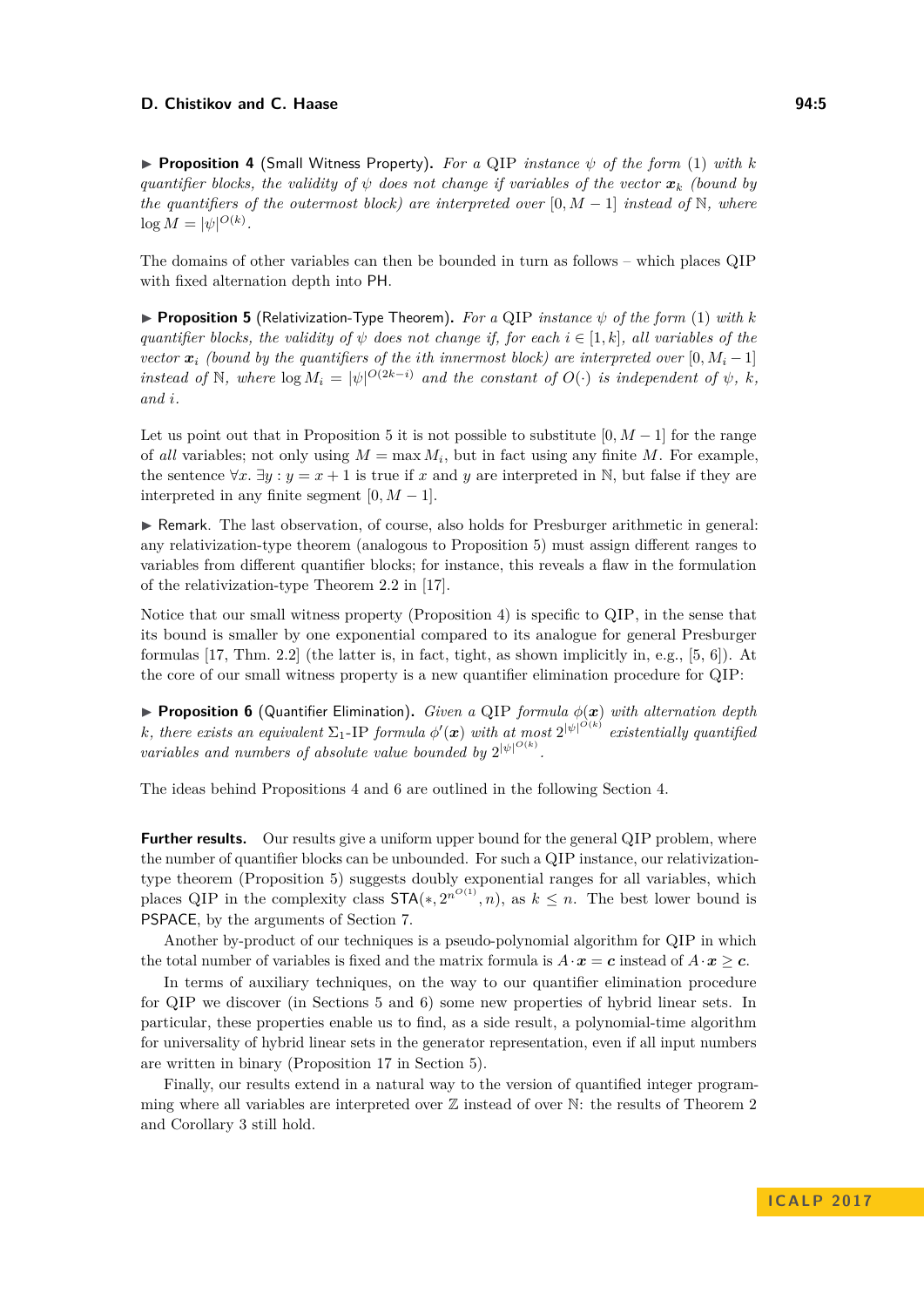## **D. Chistikov and C. Haase 94:5** 94:5

<span id="page-4-1"></span>**Proposition 4** (Small Witness Property). For a QIP *instance*  $\psi$  of the form [\(1\)](#page-0-2) with k *quantifier blocks, the validity of*  $\psi$  *does not change if variables of the vector*  $\mathbf{x}_k$  *(bound by the quantifiers of the outermost block) are interpreted over* [0,  $M-1$ ] *instead of* N, where  $\log M = |\psi|^{O(k)}$ .

The domains of other variables can then be bounded in turn as follows – which places QIP with fixed alternation depth into PH.

<span id="page-4-0"></span>**Proposition 5** (Relativization-Type Theorem). For a QIP *instance*  $\psi$  of the form [\(1\)](#page-0-2) with  $k$ *quantifier blocks, the validity of*  $\psi$  *does not change if, for each*  $i \in [1, k]$ *, all variables of the vector*  $\mathbf{x}_i$  (bound by the quantifiers of the *i*th innermost block) are interpreted over [0,  $M_i - 1$ ] *instead of*  $\mathbb{N}$ *, where*  $\log M_i = |\psi|^{O(2k-i)}$  *and the constant of*  $O(\cdot)$  *is independent of*  $\psi$ *, k<sub>i</sub> and i.*

Let us point out that in Proposition [5](#page-4-0) it is not possible to substitute  $[0, M - 1]$  for the range of *all* variables; not only using  $M = \max M_i$ , but in fact using any finite M. For example, the sentence  $\forall x. \exists y : y = x + 1$  is true if *x* and *y* are interpreted in N, but false if they are interpreted in any finite segment  $[0, M - 1]$ .

I Remark. The last observation, of course, also holds for Presburger arithmetic in general: any relativization-type theorem (analogous to Proposition [5\)](#page-4-0) must assign different ranges to variables from different quantifier blocks; for instance, this reveals a flaw in the formulation of the relativization-type Theorem 2.2 in [\[17\]](#page-12-6).

Notice that our small witness property (Proposition [4\)](#page-4-1) is specific to QIP, in the sense that its bound is smaller by one exponential compared to its analogue for general Presburger formulas [\[17,](#page-12-6) Thm. 2.2] (the latter is, in fact, tight, as shown implicitly in, e.g., [\[5,](#page-12-15) [6\]](#page-12-4)). At the core of our small witness property is a new quantifier elimination procedure for QIP:

<span id="page-4-2"></span>**Proposition 6** (Quantifier Elimination). *Given a* QIP *formula*  $\phi(\mathbf{x})$  *with alternation depth k*, there exists an equivalent  $\Sigma_1$ -IP *formula*  $\phi'(\mathbf{x})$  *with at most*  $2^{|\psi|^{O(k)}}$  *existentially quantified variables and numbers of absolute value bounded by*  $2^{|\psi|^{O(k)}}$ .

The ideas behind Propositions [4](#page-4-1) and [6](#page-4-2) are outlined in the following Section [4.](#page-5-0)

**Further results.** Our results give a uniform upper bound for the general QIP problem, where the number of quantifier blocks can be unbounded. For such a QIP instance, our relativizationtype theorem (Proposition [5\)](#page-4-0) suggests doubly exponential ranges for all variables, which places QIP in the complexity class  $\text{STA}(*, 2^{n^{O(1)}}, n)$ , as  $k \leq n$ . The best lower bound is PSPACE, by the arguments of Section [7.](#page-10-0)

Another by-product of our techniques is a pseudo-polynomial algorithm for QIP in which the total number of variables is fixed and the matrix formula is  $A \cdot x = c$  instead of  $A \cdot x \geq c$ .

In terms of auxiliary techniques, on the way to our quantifier elimination procedure for QIP we discover (in Sections [5](#page-6-0) and [6\)](#page-9-0) some new properties of hybrid linear sets. In particular, these properties enable us to find, as a side result, a polynomial-time algorithm for universality of hybrid linear sets in the generator representation, even if all input numbers are written in binary (Proposition [17](#page-8-0) in Section [5\)](#page-6-0).

Finally, our results extend in a natural way to the version of quantified integer programming where all variables are interpreted over  $\mathbb Z$  instead of over  $\mathbb N$ : the results of Theorem [2](#page-3-1) and Corollary [3](#page-3-2) still hold.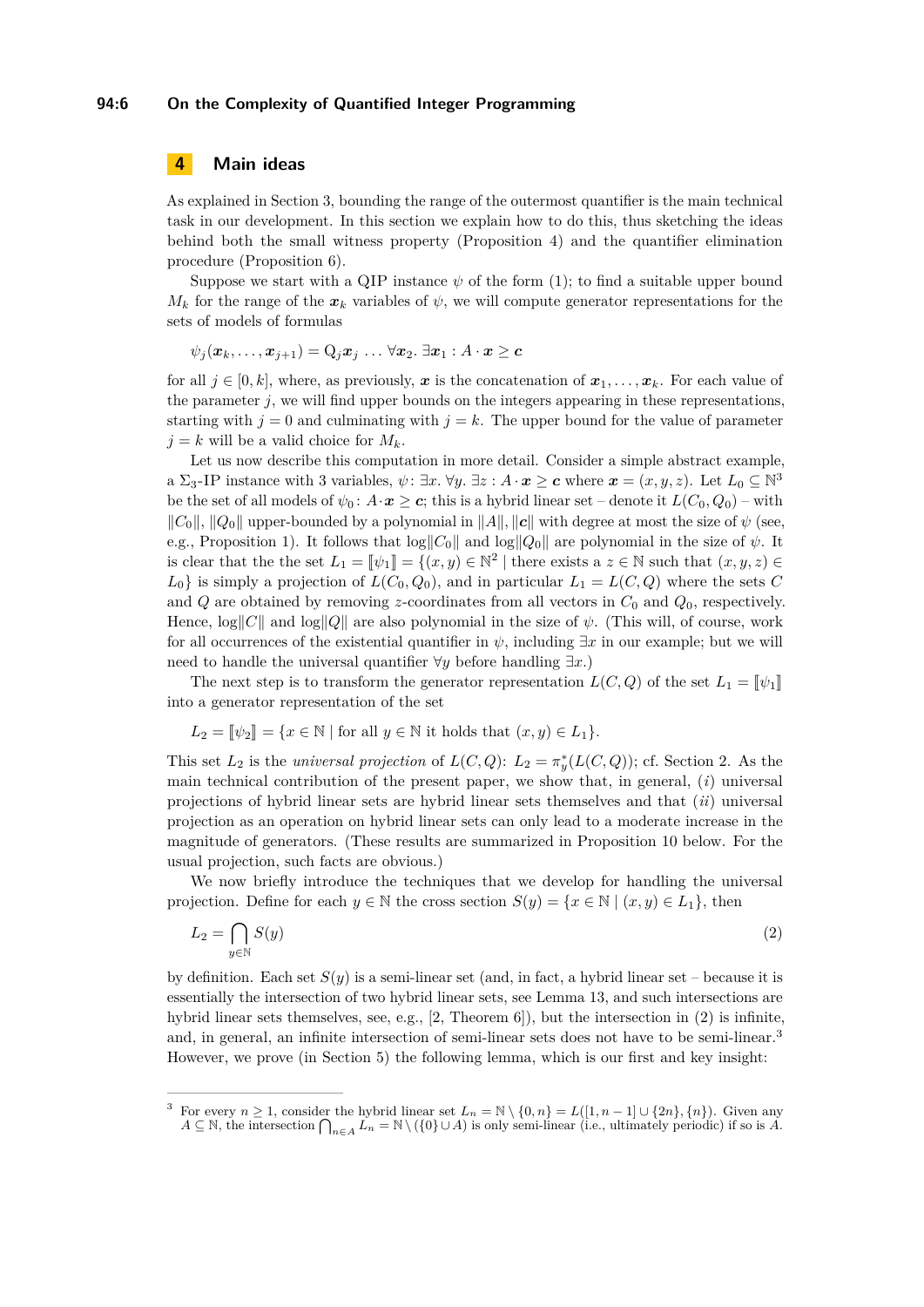## **94:6 On the Complexity of Quantified Integer Programming**

# <span id="page-5-0"></span>**4 Main ideas**

As explained in Section [3,](#page-3-0) bounding the range of the outermost quantifier is the main technical task in our development. In this section we explain how to do this, thus sketching the ideas behind both the small witness property (Proposition [4\)](#page-4-1) and the quantifier elimination procedure (Proposition [6\)](#page-4-2).

Suppose we start with a QIP instance  $\psi$  of the form [\(1\)](#page-0-2); to find a suitable upper bound  $M_k$  for the range of the  $x_k$  variables of  $\psi$ , we will compute generator representations for the sets of models of formulas

 $\psi_j(\mathbf{x}_k, ..., \mathbf{x}_{j+1}) = Q_j \mathbf{x}_j ... \forall \mathbf{x}_2$ .  $\exists \mathbf{x}_1 : A \cdot \mathbf{x} > c$ 

for all  $j \in [0, k]$ , where, as previously, x is the concatenation of  $x_1, \ldots, x_k$ . For each value of the parameter *j*, we will find upper bounds on the integers appearing in these representations, starting with  $j = 0$  and culminating with  $j = k$ . The upper bound for the value of parameter  $j = k$  will be a valid choice for  $M_k$ .

Let us now describe this computation in more detail. Consider a simple abstract example, a  $\Sigma_3$ -IP instance with 3 variables,  $\psi: \exists x. \forall y. \exists z: A \cdot x \ge c$  where  $x = (x, y, z)$ . Let  $L_0 \subseteq \mathbb{N}^3$ be the set of all models of  $\psi_0: A \cdot x \geq c$ ; this is a hybrid linear set – denote it  $L(C_0, Q_0)$  – with  $\|C_0\|$ ,  $\|Q_0\|$  upper-bounded by a polynomial in  $\|A\|$ ,  $\|c\|$  with degree at most the size of  $\psi$  (see, e.g., Proposition [1\)](#page-3-3). It follows that  $\log||C_0||$  and  $\log||Q_0||$  are polynomial in the size of  $\psi$ . It is clear that the the set  $L_1 = [\psi_1] = \{(x, y) \in \mathbb{N}^2 \mid \text{there exists a } z \in \mathbb{N} \text{ such that } (x, y, z) \in$ <br>*L*, is simply a projection of  $L(G, Q)$  and in porticular  $L(L(G, Q))$  where the sets  $G$  $L_0$  is simply a projection of  $L(C_0, Q_0)$ , and in particular  $L_1 = L(C, Q)$  where the sets *C* and  $Q$  are obtained by removing *z*-coordinates from all vectors in  $C_0$  and  $Q_0$ , respectively. Hence,  $\log||C||$  and  $\log||Q||$  are also polynomial in the size of  $\psi$ . (This will, of course, work for all occurrences of the existential quantifier in  $\psi$ , including  $\exists x$  in our example; but we will need to handle the universal quantifier ∀*y* before handling ∃*x*.)

The next step is to transform the generator representation  $L(C, Q)$  of the set  $L_1 = \llbracket \psi_1 \rrbracket$ into a generator representation of the set

$$
L_2 = \llbracket \psi_2 \rrbracket = \{ x \in \mathbb{N} \mid \text{for all } y \in \mathbb{N} \text{ it holds that } (x, y) \in L_1 \}.
$$

This set  $L_2$  is the *universal projection* of  $L(C, Q)$ :  $L_2 = \pi_y^*(L(C, Q))$ ; cf. Section [2.](#page-2-0) As the main technical contribution of the present paper, we show that, in general, (*i*) universal projections of hybrid linear sets are hybrid linear sets themselves and that (*ii*) universal projection as an operation on hybrid linear sets can only lead to a moderate increase in the magnitude of generators. (These results are summarized in Proposition [10](#page-6-1) below. For the usual projection, such facts are obvious.)

We now briefly introduce the techniques that we develop for handling the universal projection. Define for each  $y \in \mathbb{N}$  the cross section  $S(y) = \{x \in \mathbb{N} \mid (x, y) \in L_1\}$ , then

<span id="page-5-1"></span>
$$
L_2 = \bigcap_{y \in \mathbb{N}} S(y) \tag{2}
$$

by definition. Each set  $S(y)$  is a semi-linear set (and, in fact, a hybrid linear set – because it is essentially the intersection of two hybrid linear sets, see Lemma [13,](#page-7-0) and such intersections are hybrid linear sets themselves, see, e.g., [\[2,](#page-12-9) Theorem 6]), but the intersection in [\(2\)](#page-5-1) is infinite, and, in general, an infinite intersection of semi-linear sets does not have to be semi-linear.<sup>[3](#page-5-2)</sup> However, we prove (in Section [5\)](#page-6-0) the following lemma, which is our first and key insight:

<span id="page-5-2"></span>For every  $n \geq 1$ , consider the hybrid linear set  $L_n = \mathbb{N} \setminus \{0, n\} = L([1, n-1] \cup \{2n\}, \{n\})$ . Given any *A* ⊆ N, the intersection  $\bigcap_{n \in A} L_n = \mathbb{N} \setminus (\{0\} \cup A)$  is only semi-linear (i.e., ultimately periodic) if so is *A*.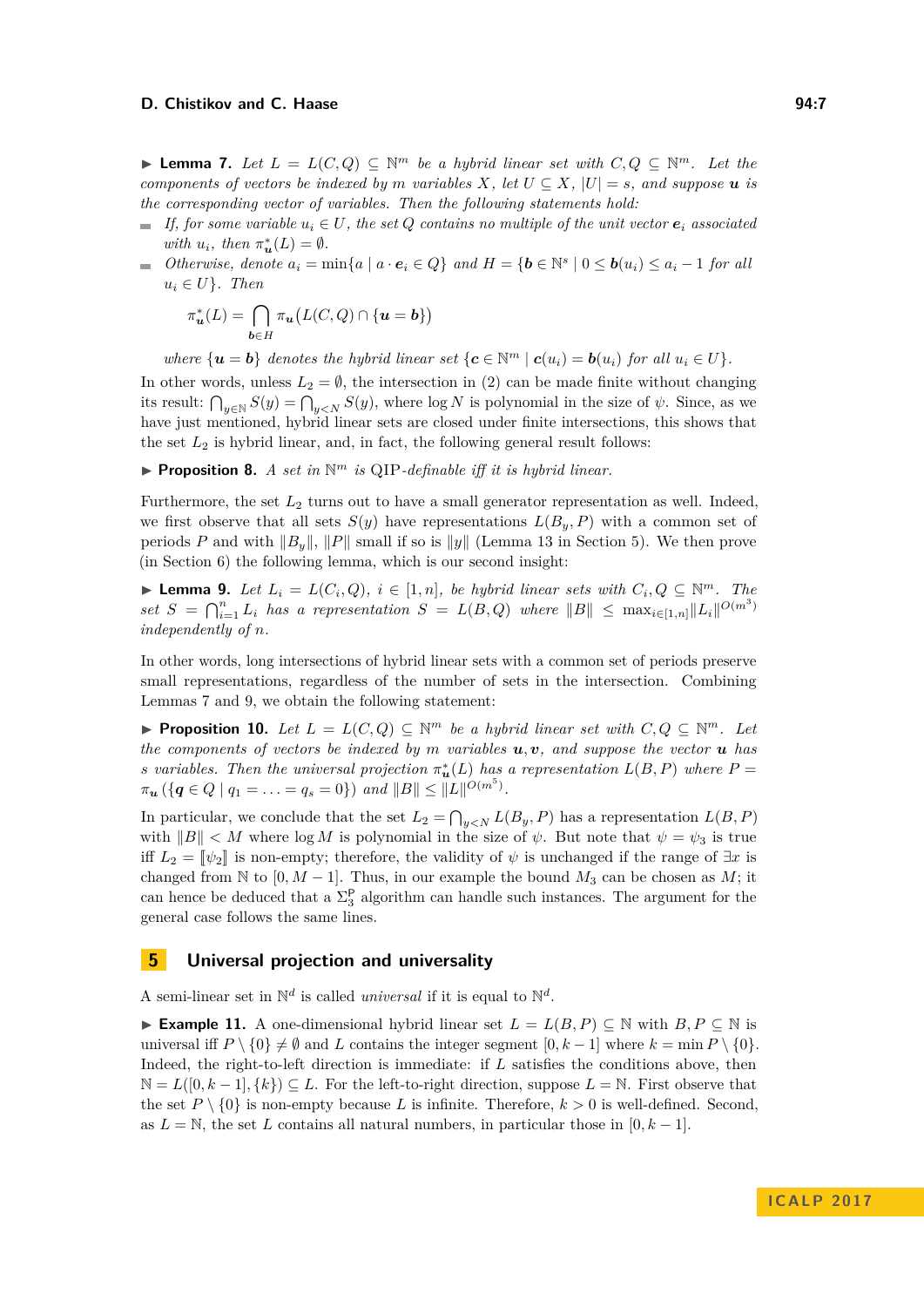## **D. Chistikov and C. Haase 94:7** 94:7

<span id="page-6-2"></span>**► Lemma 7.** Let  $L = L(C, Q) \subseteq \mathbb{N}^m$  be a hybrid linear set with  $C, Q \subseteq \mathbb{N}^m$ . Let the *components of vectors be indexed by m variables*  $X$ *, let*  $U \subseteq X$ *,*  $|U| = s$ *, and suppose u is the corresponding vector of variables. Then the following statements hold:*

- $\blacksquare$  *If, for some variable*  $u_i \in U$ *, the set Q contains no multiple of the unit vector*  $e_i$  *associated with*  $u_i$ *, then*  $\pi_u^*(L) = \emptyset$ *.*
- *Otherwise, denote*  $a_i = \min\{a \mid a \cdot e_i \in Q\}$  *and*  $H = \{b \in \mathbb{N}^s \mid 0 \leq b(u_i) \leq a_i 1$  *for all*  $u_i \in U$ *}. Then*

$$
\pi_{\mathbf{u}}^*(L)=\bigcap_{\mathbf{b}\in H}\pi_{\mathbf{u}}\big(L(C,Q)\cap\{\mathbf{u}=\mathbf{b}\}\big)
$$

*where*  $\{u = b\}$  *denotes the hybrid linear set*  $\{c \in \mathbb{N}^m \mid c(u_i) = b(u_i)$  *for all*  $u_i \in U\}$ *.* 

In other words, unless  $L_2 = \emptyset$ , the intersection in [\(2\)](#page-5-1) can be made finite without changing its result:  $\bigcap_{y\in\mathbb{N}} S(y) = \bigcap_{y\leq N} S(y)$ , where log *N* is polynomial in the size of  $\psi$ . Since, as we have just mentioned, hybrid linear sets are closed under finite intersections, this shows that the set  $L_2$  is hybrid linear, and, in fact, the following general result follows:

**Proposition 8.** *A set in*  $\mathbb{N}^m$  *is* QIP-definable *iff it is hybrid linear.* 

Furthermore, the set  $L_2$  turns out to have a small generator representation as well. Indeed, we first observe that all sets  $S(y)$  have representations  $L(B_y, P)$  with a common set of periods *P* and with  $\|B_y\|$ ,  $\|P\|$  small if so is  $\|y\|$  (Lemma [13](#page-7-0) in Section [5\)](#page-6-0). We then prove (in Section [6\)](#page-9-0) the following lemma, which is our second insight:

<span id="page-6-3"></span>▶ **Lemma 9.** *Let*  $L_i = L(C_i, Q)$ *,*  $i \in [1, n]$ *, be hybrid linear sets with*  $C_i, Q \subseteq \mathbb{N}^m$ *. The*  $\int$  *set*  $S = \bigcap_{i=1}^{n} L_i$  *has a representation*  $S = L(B, Q)$  *where*  $||B|| \leq \max_{i \in [1,n]} ||L_i||^{O(m^3)}$ *independently of n.*

In other words, long intersections of hybrid linear sets with a common set of periods preserve small representations, regardless of the number of sets in the intersection. Combining Lemmas [7](#page-6-2) and [9,](#page-6-3) we obtain the following statement:

<span id="page-6-1"></span>**Proposition 10.** Let  $L = L(C, Q) \subseteq \mathbb{N}^m$  be a hybrid linear set with  $C, Q \subseteq \mathbb{N}^m$ . Let *the components of vectors be indexed by m variables*  $u, v$ *, and suppose the vector*  $u$  *has s variables. Then the universal projection*  $\pi_u^*(L)$  *has a representation*  $L(B, P)$  *where*  $P =$  $\pi_u$  ({ $q \in Q \mid q_1 = \ldots = q_s = 0$ }) *and*  $||B|| \leq ||L||^{O(m^5)}$ .

In particular, we conclude that the set  $L_2 = \bigcap_{y \le N} L(B_y, P)$  has a representation  $L(B, P)$ with  $||B|| < M$  where  $log M$  is polynomial in the size of  $\psi$ . But note that  $\psi = \psi_3$  is true iff  $L_2 = \llbracket \psi_2 \rrbracket$  is non-empty; therefore, the validity of  $\psi$  is unchanged if the range of  $\exists x$  is changed from N to  $[0, M - 1]$ . Thus, in our example the bound  $M_3$  can be chosen as  $M$ ; it can hence be deduced that a  $\Sigma_3^{\mathsf{P}}$  algorithm can handle such instances. The argument for the general case follows the same lines.

## <span id="page-6-0"></span>**5 Universal projection and universality**

A semi-linear set in  $\mathbb{N}^d$  is called *universal* if it is equal to  $\mathbb{N}^d$ .

<span id="page-6-4"></span>**► Example 11.** A one-dimensional hybrid linear set  $L = L(B, P) \subseteq \mathbb{N}$  with  $B, P \subseteq \mathbb{N}$  is universal iff  $P \setminus \{0\} \neq \emptyset$  and *L* contains the integer segment  $[0, k-1]$  where  $k = \min P \setminus \{0\}$ . Indeed, the right-to-left direction is immediate: if *L* satisfies the conditions above, then  $\mathbb{N} = L([0, k-1], \{k\}) \subset L$ . For the left-to-right direction, suppose  $L = \mathbb{N}$ . First observe that the set  $P \setminus \{0\}$  is non-empty because L is infinite. Therefore,  $k > 0$  is well-defined. Second, as  $L = \mathbb{N}$ , the set *L* contains all natural numbers, in particular those in  $[0, k-1]$ .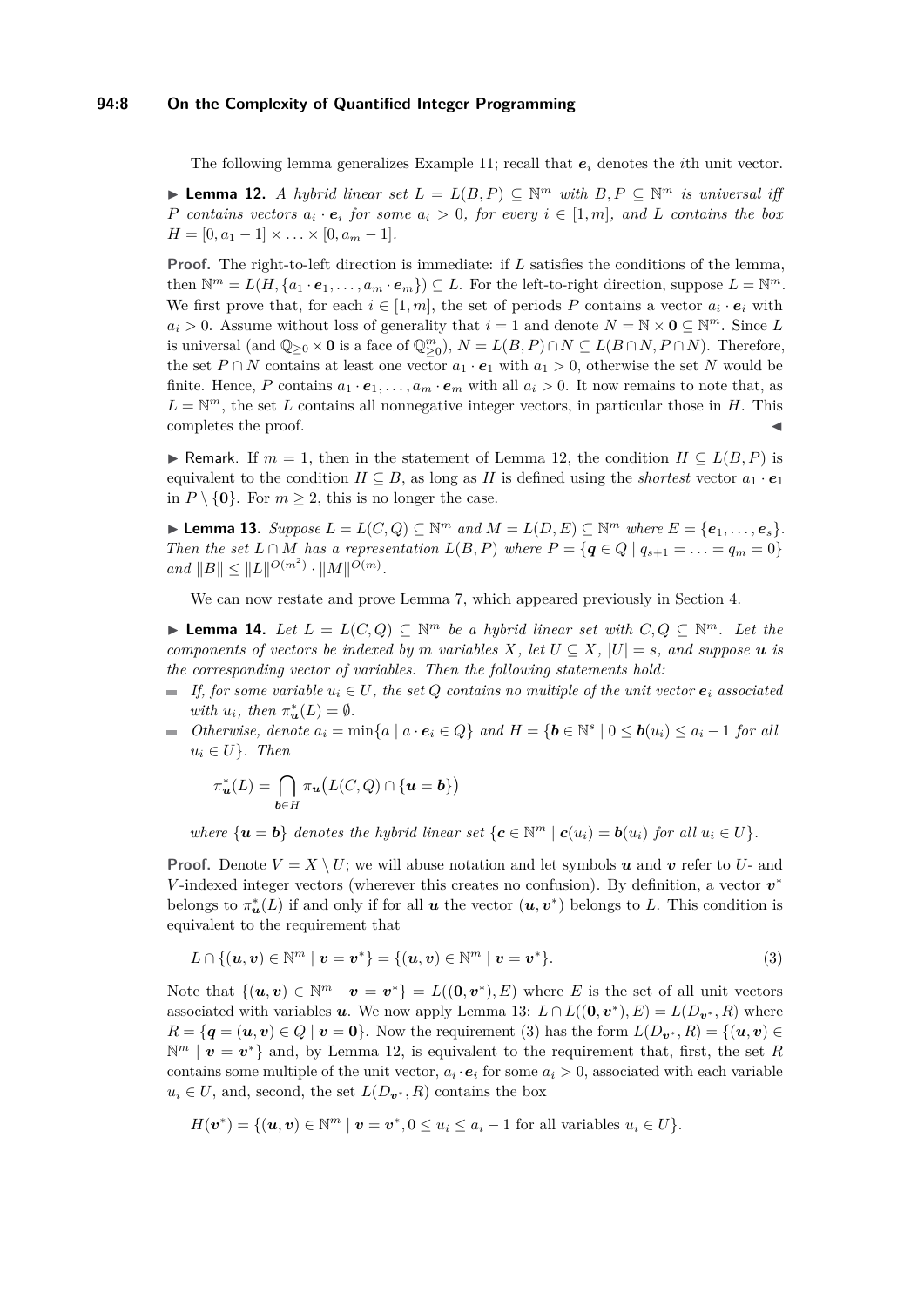## **94:8 On the Complexity of Quantified Integer Programming**

The following lemma generalizes Example [11;](#page-6-4) recall that *e<sup>i</sup>* denotes the *i*th unit vector.

<span id="page-7-1"></span>▶ **Lemma 12.** *A hybrid linear set*  $L = L(B, P) \subseteq \mathbb{N}^m$  *with*  $B, P \subseteq \mathbb{N}^m$  *is universal iff P contains vectors*  $a_i \cdot e_i$  *for some*  $a_i > 0$ *, for every*  $i \in [1, m]$ *, and L contains* the box  $H = [0, a_1 - 1] \times \ldots \times [0, a_m - 1].$ 

**Proof.** The right-to-left direction is immediate: if *L* satisfies the conditions of the lemma, then  $\mathbb{N}^m = L(H, \{a_1 \cdot e_1, \ldots, a_m \cdot e_m\}) \subseteq L$ . For the left-to-right direction, suppose  $L = \mathbb{N}^m$ . We first prove that, for each  $i \in [1, m]$ , the set of periods P contains a vector  $a_i \cdot e_i$  with  $a_i > 0$ . Assume without loss of generality that  $i = 1$  and denote  $N = N \times 0 \subseteq N^m$ . Since *L* is universal (and  $\mathbb{Q}_{\geq 0} \times \mathbf{0}$  is a face of  $\mathbb{Q}_{\geq 0}^m$ ),  $N = L(B, P) \cap N \subseteq L(B \cap N, P \cap N)$ . Therefore, the set *P* ∩ *N* contains at least one vector  $a_1 \cdot e_1$  with  $a_1 > 0$ , otherwise the set *N* would be finite. Hence, P contains  $a_1 \cdot e_1, \ldots, a_m \cdot e_m$  with all  $a_i > 0$ . It now remains to note that, as  $L = \mathbb{N}^m$ , the set *L* contains all nonnegative integer vectors, in particular those in *H*. This completes the proof.

**► Remark.** If  $m = 1$ , then in the statement of Lemma [12,](#page-7-1) the condition  $H \subseteq L(B, P)$  is equivalent to the condition  $H \subseteq B$ , as long as *H* is defined using the *shortest* vector  $a_1 \cdot e_1$ in  $P \setminus \{0\}$ . For  $m \geq 2$ , this is no longer the case.

<span id="page-7-0"></span>▶ **Lemma 13.** Suppose  $L = L(C, Q) \subseteq \mathbb{N}^m$  and  $M = L(D, E) \subseteq \mathbb{N}^m$  where  $E = \{e_1, \ldots, e_s\}$ . *Then the set*  $L \cap M$  *has a representation*  $L(B, P)$  *where*  $P = \{q \in Q \mid q_{s+1} = \ldots = q_m = 0\}$  $and$   $||B|| \leq ||L||^{O(m^2)} \cdot ||M||^{O(m)}$ .

We can now restate and prove Lemma [7,](#page-6-2) which appeared previously in Section [4.](#page-5-0)

**► Lemma 14.** Let  $L = L(C, Q) \subseteq \mathbb{N}^m$  be a hybrid linear set with  $C, Q \subseteq \mathbb{N}^m$ . Let the *components of vectors be indexed by m variables*  $X$ *, let*  $U \subseteq X$ *,*  $|U| = s$ *, and suppose*  $u$  *is the corresponding vector of variables. Then the following statements hold:*

- *If, for some variable*  $u_i \in U$ *, the set Q contains no multiple of the unit vector*  $e_i$  *associated with*  $u_i$ *, then*  $\pi_u^*(L) = \emptyset$ *.*
- *Otherwise, denote*  $a_i = \min\{a \mid a \cdot e_i \in Q\}$  *and*  $H = \{b \in \mathbb{N}^s \mid 0 \leq b(u_i) \leq a_i 1$  *for all*  $u_i \in U$ *}. Then*

$$
\pi_{\boldsymbol{u}}^*(L)=\bigcap_{\boldsymbol{b}\in H}\pi_{\boldsymbol{u}}\big(L(C,Q)\cap\{\boldsymbol{u}=\boldsymbol{b}\}\big)
$$

*where*  $\{u = b\}$  *denotes the hybrid linear set*  $\{c \in \mathbb{N}^m \mid c(u_i) = b(u_i)$  *for all*  $u_i \in U\}$ *.* 

**Proof.** Denote  $V = X \setminus U$ ; we will abuse notation and let symbols *u* and *v* refer to *U*- and *V*-indexed integer vectors (wherever this creates no confusion). By definition, a vector  $v^*$ belongs to  $\pi_u^*(L)$  if and only if for all *u* the vector  $(u, v^*)$  belongs to L. This condition is equivalent to the requirement that

<span id="page-7-2"></span>
$$
L \cap \{(\mathbf{u}, \mathbf{v}) \in \mathbb{N}^m \mid \mathbf{v} = \mathbf{v}^*\} = \{(\mathbf{u}, \mathbf{v}) \in \mathbb{N}^m \mid \mathbf{v} = \mathbf{v}^*\}.
$$
 (3)

Note that  $\{(u, v) \in \mathbb{N}^m \mid v = v^*\} = L((0, v^*), E)$  where *E* is the set of all unit vectors associated with variables *u*. We now apply Lemma [13:](#page-7-0)  $L \cap L((0, v^*), E) = L(D_{v^*}, R)$  where  $R = \{q = (u, v) \in Q \mid v = 0\}$ . Now the requirement [\(3\)](#page-7-2) has the form  $L(D_{v^*}, R) = \{(u, v) \in Q \mid v = 0\}$ .  $\mathbb{N}^m \mid v = v^*$  and, by Lemma [12,](#page-7-1) is equivalent to the requirement that, first, the set R contains some multiple of the unit vector,  $a_i \cdot e_i$  for some  $a_i > 0$ , associated with each variable  $u_i \in U$ , and, second, the set  $L(D_{\mathbf{v}^*}, R)$  contains the box

$$
H(\boldsymbol{v}^*) = \{(\boldsymbol{u}, \boldsymbol{v}) \in \mathbb{N}^m \mid \boldsymbol{v} = \boldsymbol{v}^*, 0 \le u_i \le a_i - 1 \text{ for all variables } u_i \in U\}.
$$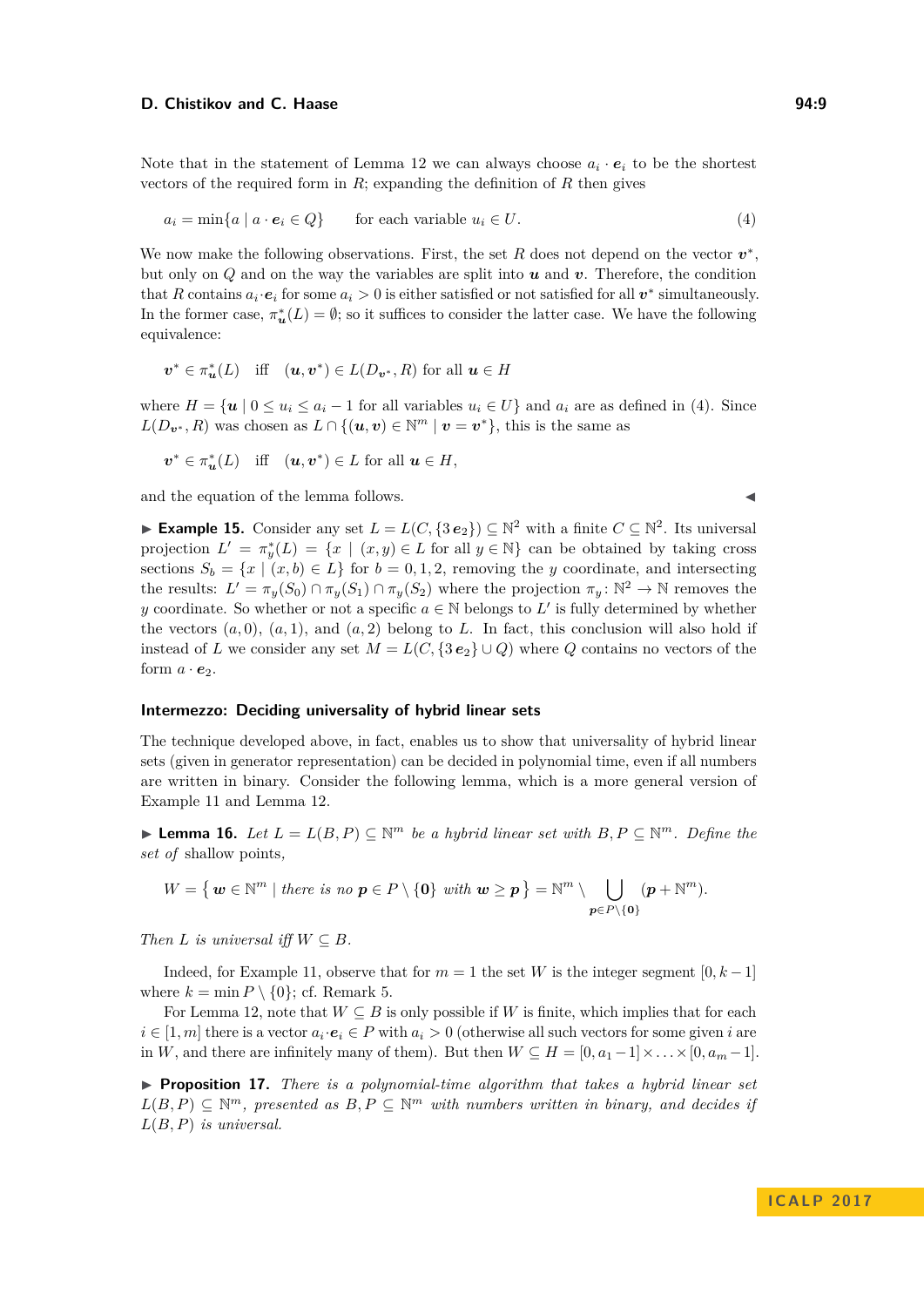#### **D. Chistikov and C. Haase 94:9** 94:9

Note that in the statement of Lemma [12](#page-7-1) we can always choose  $a_i \cdot e_i$  to be the shortest vectors of the required form in  $R$ ; expanding the definition of  $R$  then gives

<span id="page-8-1"></span>
$$
a_i = \min\{a \mid a \cdot e_i \in Q\} \qquad \text{for each variable } u_i \in U. \tag{4}
$$

We now make the following observations. First, the set  $R$  does not depend on the vector  $v^*$ , but only on *Q* and on the way the variables are split into *u* and *v*. Therefore, the condition that *R* contains  $a_i \cdot e_i$  for some  $a_i > 0$  is either satisfied or not satisfied for all  $v^*$  simultaneously. In the former case,  $\pi_u^*(L) = \emptyset$ ; so it suffices to consider the latter case. We have the following equivalence:

$$
\boldsymbol{v}^* \in \pi_{\boldsymbol{u}}^*(L) \quad \text{iff} \quad (\boldsymbol{u}, \boldsymbol{v}^*) \in L(D_{\boldsymbol{v}^*}, R) \text{ for all } \boldsymbol{u} \in H
$$

where  $H = \{u \mid 0 \le u_i \le a_i - 1$  for all variables  $u_i \in U\}$  and  $a_i$  are as defined in [\(4\)](#page-8-1). Since  $L(D_{\mathbf{v}^*}, R)$  was chosen as  $L \cap \{(\mathbf{u}, \mathbf{v}) \in \mathbb{N}^m \mid \mathbf{v} = \mathbf{v}^*\},$  this is the same as

$$
\boldsymbol{v}^* \in \pi_{\boldsymbol{u}}^*(L) \quad \text{iff} \quad (\boldsymbol{u}, \boldsymbol{v}^*) \in L \text{ for all } \boldsymbol{u} \in H,
$$

and the equation of the lemma follows.

► **Example 15.** Consider any set  $L = L(C, \{3e_2\}) \subseteq \mathbb{N}^2$  with a finite  $C \subseteq \mathbb{N}^2$ . Its universal projection  $L' = \pi_y^*(L) = \{x \mid (x, y) \in L \text{ for all } y \in \mathbb{N}\}\)$  can be obtained by taking cross sections  $S_b = \{x \mid (x, b) \in L\}$  for  $b = 0, 1, 2$ , removing the *y* coordinate, and intersecting the results:  $L' = \pi_y(S_0) \cap \pi_y(S_1) \cap \pi_y(S_2)$  where the projection  $\pi_y \colon \mathbb{N}^2 \to \mathbb{N}$  removes the *y* coordinate. So whether or not a specific  $a \in \mathbb{N}$  belongs to  $L'$  is fully determined by whether the vectors  $(a, 0)$ ,  $(a, 1)$ , and  $(a, 2)$  belong to *L*. In fact, this conclusion will also hold if instead of *L* we consider any set  $M = L(C, \{3e_2\} \cup Q)$  where *Q* contains no vectors of the form  $a \cdot e_2$ .

## **Intermezzo: Deciding universality of hybrid linear sets**

The technique developed above, in fact, enables us to show that universality of hybrid linear sets (given in generator representation) can be decided in polynomial time, even if all numbers are written in binary. Consider the following lemma, which is a more general version of Example [11](#page-6-4) and Lemma [12.](#page-7-1)

<span id="page-8-2"></span>▶ **Lemma 16.** *Let*  $L = L(B, P) \subseteq \mathbb{N}^m$  *be a hybrid linear set with*  $B, P \subseteq \mathbb{N}^m$ *. Define the set of* shallow points*,*

$$
W = \left\{ \ \boldsymbol{w} \in \mathbb{N}^m \mid \text{there is no } \ \boldsymbol{p} \in P \setminus \{ \boldsymbol{0} \} \ \text{with} \ \ \boldsymbol{w} \geq \boldsymbol{p} \ \right\} = \mathbb{N}^m \setminus \bigcup_{\boldsymbol{p} \in P \setminus \{ \boldsymbol{0} \}} (\boldsymbol{p} + \mathbb{N}^m).
$$

*Then*  $L$  *is universal iff*  $W \subseteq B$ *.* 

Indeed, for Example [11,](#page-6-4) observe that for  $m = 1$  the set *W* is the integer segment  $[0, k-1]$ where  $k = \min P \setminus \{0\}$ ; cf. Remark [5.](#page-7-1)

For Lemma [12,](#page-7-1) note that  $W \subseteq B$  is only possible if *W* is finite, which implies that for each  $i \in [1, m]$  there is a vector  $a_i \cdot e_i \in P$  with  $a_i > 0$  (otherwise all such vectors for some given *i* are in *W*, and there are infinitely many of them). But then  $W \subseteq H = [0, a_1 - 1] \times \ldots \times [0, a_m - 1]$ .

<span id="page-8-0"></span> $\triangleright$  **Proposition 17.** *There is a polynomial-time algorithm that takes a hybrid linear set*  $L(B, P) \subseteq \mathbb{N}^m$ , presented as  $B, P \subseteq \mathbb{N}^m$  with numbers written in binary, and decides if *L*(*B, P*) *is universal.*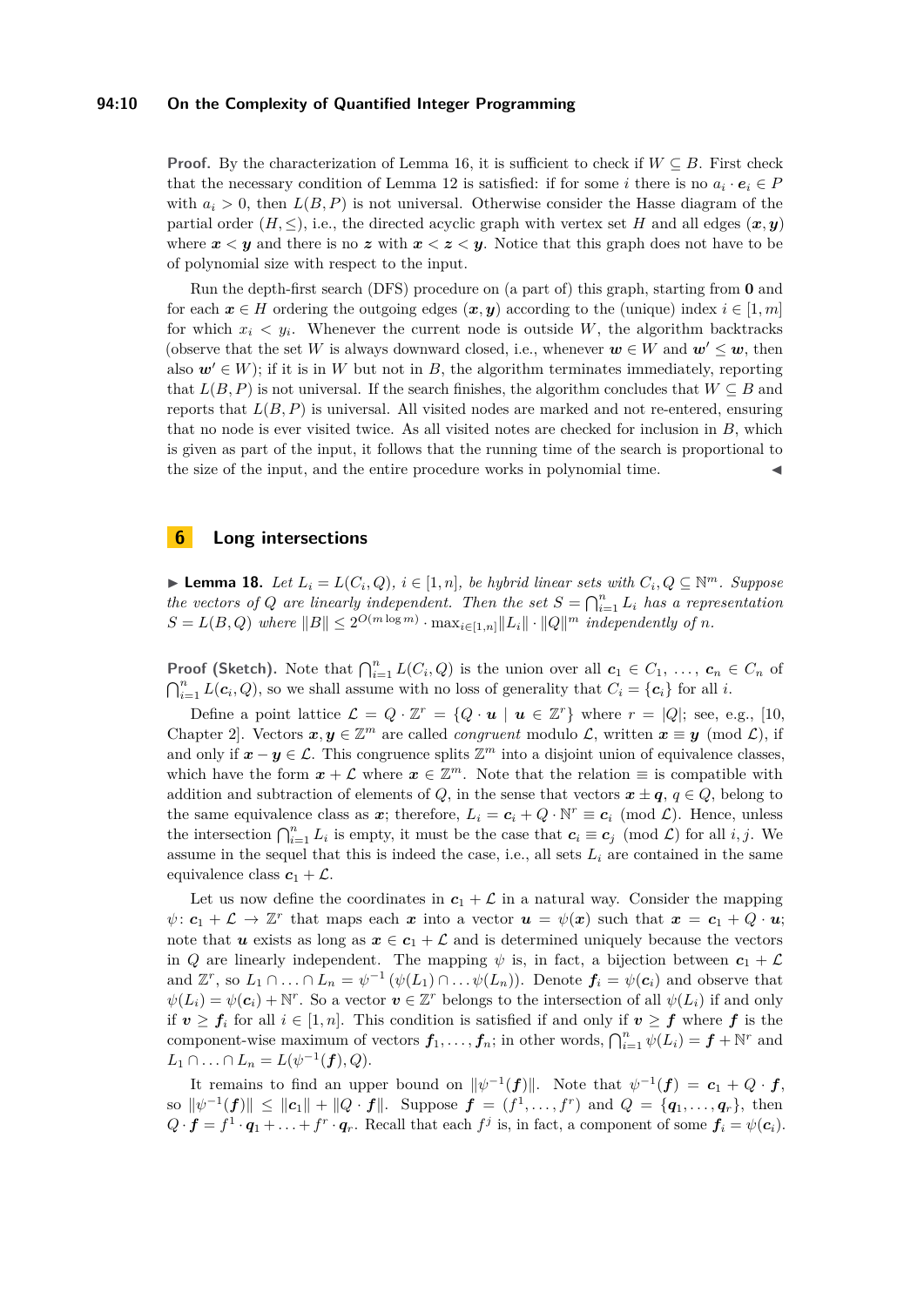## **94:10 On the Complexity of Quantified Integer Programming**

**Proof.** By the characterization of Lemma [16,](#page-8-2) it is sufficient to check if  $W \subseteq B$ . First check that the necessary condition of Lemma [12](#page-7-1) is satisfied: if for some *i* there is no  $a_i \cdot e_i \in P$ with  $a_i > 0$ , then  $L(B, P)$  is not universal. Otherwise consider the Hasse diagram of the partial order  $(H, \leq)$ , i.e., the directed acyclic graph with vertex set *H* and all edges  $(x, y)$ where  $x < y$  and there is no z with  $x < z < y$ . Notice that this graph does not have to be of polynomial size with respect to the input.

Run the depth-first search (DFS) procedure on (a part of) this graph, starting from **0** and for each  $x \in H$  ordering the outgoing edges  $(x, y)$  according to the (unique) index  $i \in [1, m]$ for which  $x_i \leq y_i$ . Whenever the current node is outside W, the algorithm backtracks (observe that the set *W* is always downward closed, i.e., whenever  $w \in W$  and  $w' \leq w$ , then also  $w' \in W$ ; if it is in W but not in B, the algorithm terminates immediately, reporting that  $L(B, P)$  is not universal. If the search finishes, the algorithm concludes that  $W \subseteq B$  and reports that *L*(*B, P*) is universal. All visited nodes are marked and not re-entered, ensuring that no node is ever visited twice. As all visited notes are checked for inclusion in *B*, which is given as part of the input, it follows that the running time of the search is proportional to the size of the input, and the entire procedure works in polynomial time.

# <span id="page-9-0"></span>**6 Long intersections**

<span id="page-9-1"></span>▶ **Lemma 18.** *Let*  $L_i = L(C_i, Q)$ ,  $i \in [1, n]$ , be hybrid linear sets with  $C_i, Q \subseteq \mathbb{N}^m$ . Suppose *the vectors of Q* are linearly independent. Then the set  $S = \bigcap_{i=1}^{n} L_i$  has a representation  $S = L(B, Q)$  where  $||B|| \leq 2^{O(m \log m)} \cdot \max_{i \in [1,n]} ||L_i|| \cdot ||Q||^m$  independently of *n*.

**Proof (Sketch).** Note that  $\bigcap_{i=1}^{n} L(C_i, Q)$  is the union over all  $c_1 \in C_1, \ldots, c_n \in C_n$  of  $\bigcap_{i=1}^n L(c_i, Q)$ , so we shall assume with no loss of generality that  $C_i = \{c_i\}$  for all *i*.

Define a point lattice  $\mathcal{L} = Q \cdot \mathbb{Z}^r = \{Q \cdot \mathbf{u} \mid \mathbf{u} \in \mathbb{Z}^r\}$  where  $r = |Q|$ ; see, e.g., [\[10,](#page-12-16) Chapter 2. Vectors  $x, y \in \mathbb{Z}^m$  are called *congruent* modulo  $\mathcal{L}$ , written  $x \equiv y \pmod{\mathcal{L}}$ , if and only if  $x - y \in \mathcal{L}$ . This congruence splits  $\mathbb{Z}^m$  into a disjoint union of equivalence classes, which have the form  $x + \mathcal{L}$  where  $x \in \mathbb{Z}^m$ . Note that the relation  $\equiv$  is compatible with addition and subtraction of elements of *Q*, in the sense that vectors  $x \pm q$ ,  $q \in Q$ , belong to the same equivalence class as  $x$ ; therefore,  $L_i = c_i + Q \cdot \mathbb{N}^r \equiv c_i \pmod{\mathcal{L}}$ . Hence, unless the intersection  $\bigcap_{i=1}^n L_i$  is empty, it must be the case that  $c_i \equiv c_j \pmod{\mathcal{L}}$  for all *i, j*. We assume in the sequel that this is indeed the case, i.e., all sets  $L_i$  are contained in the same equivalence class  $c_1 + \mathcal{L}$ .

Let us now define the coordinates in  $c_1 + \mathcal{L}$  in a natural way. Consider the mapping  $\psi: \mathbf{c}_1 + \mathcal{L} \to \mathbb{Z}^r$  that maps each *x* into a vector  $\mathbf{u} = \psi(\mathbf{x})$  such that  $\mathbf{x} = \mathbf{c}_1 + Q \cdot \mathbf{u}$ ; note that *u* exists as long as  $x \in c_1 + \mathcal{L}$  and is determined uniquely because the vectors in *Q* are linearly independent. The mapping  $\psi$  is, in fact, a bijection between  $c_1 + \mathcal{L}$ and  $\mathbb{Z}^r$ , so  $L_1 \cap ... \cap L_n = \psi^{-1}(\psi(L_1) \cap ... \psi(L_n))$ . Denote  $f_i = \psi(c_i)$  and observe that  $\psi(L_i) = \psi(c_i) + \mathbb{N}^r$ . So a vector  $v \in \mathbb{Z}^r$  belongs to the intersection of all  $\psi(L_i)$  if and only if  $v \ge f_i$  for all  $i \in [1, n]$ . This condition is satisfied if and only if  $v \ge f$  where f is the component-wise maximum of vectors  $f_1, \ldots, f_n$ ; in other words,  $\bigcap_{i=1}^n \psi(L_i) = f + \mathbb{N}^r$  and  $L_1 \cap ... \cap L_n = L(\psi^{-1}(f), Q).$ 

It remains to find an upper bound on  $\|\psi^{-1}(f)\|$ . Note that  $\psi^{-1}(f) = c_1 + Q \cdot f$ ,  $\| \psi^{-1}(f) \| \leq \| c_1 \| + \| Q \cdot f \|$ . Suppose  $f = (f^1, \ldots, f^r)$  and  $Q = \{ q_1, \ldots, q_r \}$ , then  $Q \cdot \mathbf{f} = f^1 \cdot \mathbf{q}_1 + \ldots + f^r \cdot \mathbf{q}_r$ . Recall that each  $f^j$  is, in fact, a component of some  $f_i = \psi(c_i)$ .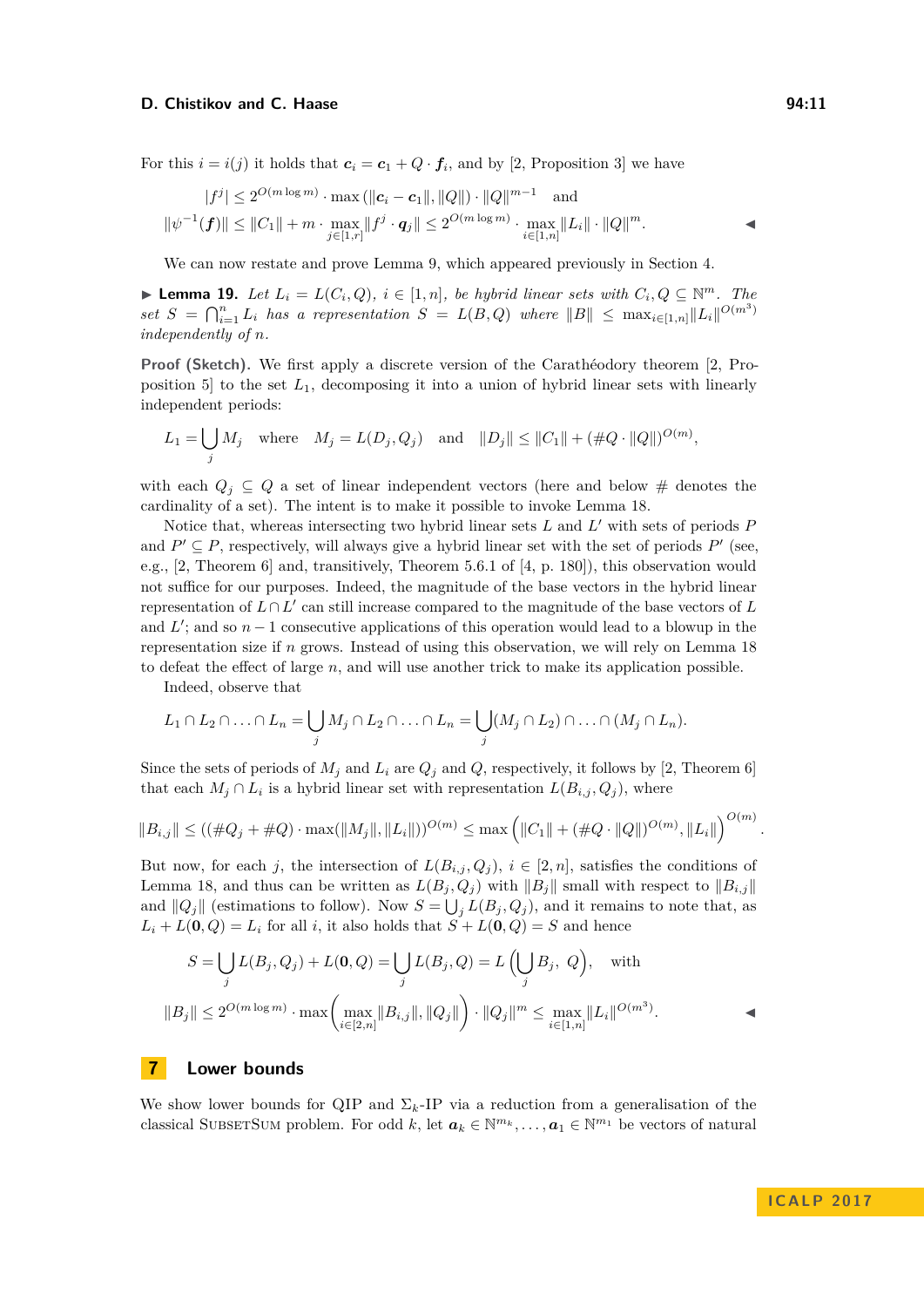### **D. Chistikov and C. Haase 94:11**

$$
|f^{j}| \leq 2^{O(m \log m)} \cdot \max (||c_{i} - c_{1}||, ||Q||) \cdot ||Q||^{m-1} \text{ and}
$$
  

$$
||\psi^{-1}(f)|| \leq ||C_{1}|| + m \cdot \max_{j \in [1,r]} ||f^{j} \cdot q_{j}|| \leq 2^{O(m \log m)} \cdot \max_{i \in [1,n]} ||L_{i}|| \cdot ||Q||^{m}.
$$

We can now restate and prove Lemma [9,](#page-6-3) which appeared previously in Section [4.](#page-5-0)

▶ **Lemma 19.** *Let*  $L_i = L(C_i, Q)$ *,*  $i \in [1, n]$ *, be hybrid linear sets with*  $C_i, Q \subseteq \mathbb{N}^m$ *. The*  $\int$  *set*  $S = \bigcap_{i=1}^{n} L_i$  *has a representation*  $S = L(B, Q)$  *where*  $||B|| \leq \max_{i \in [1,n]} ||L_i||^{O(m^3)}$ *independently of n.*

**Proof (Sketch).** We first apply a discrete version of the Carathéodory theorem [\[2,](#page-12-9) Proposition 5 to the set  $L_1$ , decomposing it into a union of hybrid linear sets with linearly independent periods:

$$
L_1 = \bigcup_j M_j \quad \text{where} \quad M_j = L(D_j, Q_j) \quad \text{and} \quad ||D_j|| \le ||C_1|| + (\#Q \cdot ||Q||)^{O(m)},
$$

with each  $Q_i \subseteq Q$  a set of linear independent vectors (here and below # denotes the cardinality of a set). The intent is to make it possible to invoke Lemma [18.](#page-9-1)

Notice that, whereas intersecting two hybrid linear sets  $L$  and  $L'$  with sets of periods  $P$ and  $P' \subseteq P$ , respectively, will always give a hybrid linear set with the set of periods  $P'$  (see, e.g., [\[2,](#page-12-9) Theorem 6] and, transitively, Theorem 5.6.1 of [\[4,](#page-12-17) p. 180]), this observation would not suffice for our purposes. Indeed, the magnitude of the base vectors in the hybrid linear representation of  $L \cap L'$  can still increase compared to the magnitude of the base vectors of  $L$ and  $L'$ ; and so  $n-1$  consecutive applications of this operation would lead to a blowup in the representation size if *n* grows. Instead of using this observation, we will rely on Lemma [18](#page-9-1) to defeat the effect of large *n*, and will use another trick to make its application possible.

Indeed, observe that

$$
L_1 \cap L_2 \cap \ldots \cap L_n = \bigcup_j M_j \cap L_2 \cap \ldots \cap L_n = \bigcup_j (M_j \cap L_2) \cap \ldots \cap (M_j \cap L_n).
$$

Since the sets of periods of  $M_j$  and  $L_i$  are  $Q_j$  and  $Q$ , respectively, it follows by [\[2,](#page-12-9) Theorem 6] that each  $M_j \cap L_i$  is a hybrid linear set with representation  $L(B_{i,j}, Q_j)$ , where

$$
||B_{i,j}|| \leq ((\#Q_j + \#Q) \cdot \max(||M_j||, ||L_i||))^{O(m)} \leq \max \left( ||C_1|| + (\#Q \cdot ||Q||)^{O(m)}, ||L_i|| \right)^{O(m)}.
$$

But now, for each *j*, the intersection of  $L(B_{i,j}, Q_j)$ ,  $i \in [2, n]$ , satisfies the conditions of Lemma [18,](#page-9-1) and thus can be written as  $L(B_i, Q_j)$  with  $||B_j||$  small with respect to  $||B_{i,j}||$ and  $||Q_j||$  (estimations to follow). Now  $S = \bigcup_j L(B_j, Q_j)$ , and it remains to note that, as  $L_i + L(0, Q) = L_i$  for all *i*, it also holds that  $S + L(0, Q) = S$  and hence

$$
S = \bigcup_{j} L(B_j, Q_j) + L(\mathbf{0}, Q) = \bigcup_{j} L(B_j, Q) = L\left(\bigcup_{j} B_j, Q\right), \text{ with}
$$
  

$$
||B_j|| \le 2^{O(m \log m)} \cdot \max\left(\max_{i \in [2,n]} ||B_{i,j}||, ||Q_j||\right) \cdot ||Q_j||^m \le \max_{i \in [1,n]} ||L_i||^{O(m^3)}.
$$

## <span id="page-10-0"></span>**7 Lower bounds**

We show lower bounds for QIP and  $\Sigma_k$ -IP via a reduction from a generalisation of the classical SUBSETSUM problem. For odd  $k$ , let  $a_k \in \mathbb{N}^{m_k}, \ldots, a_1 \in \mathbb{N}^{m_1}$  be vectors of natural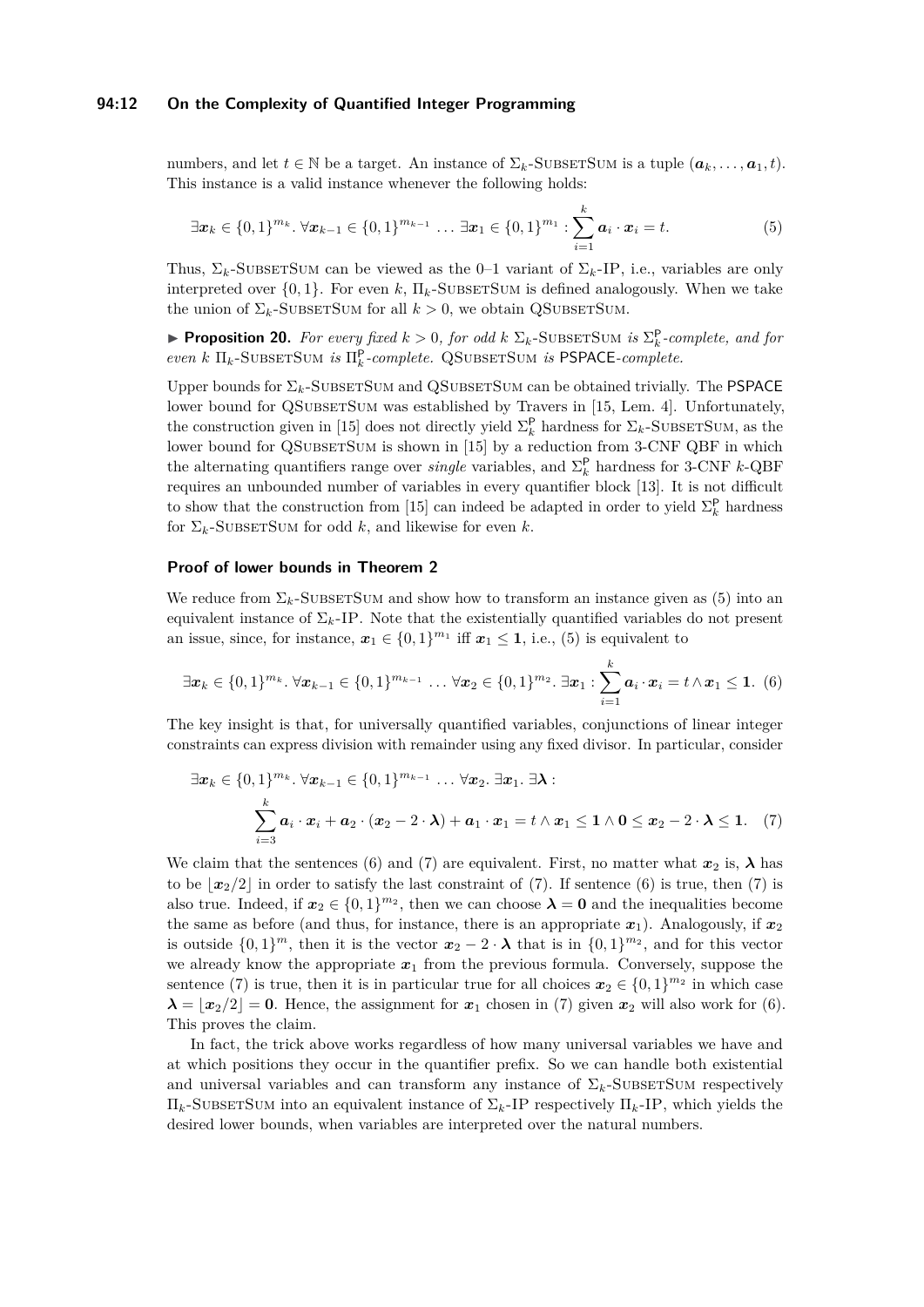## **94:12 On the Complexity of Quantified Integer Programming**

numbers, and let  $t \in \mathbb{N}$  be a target. An instance of  $\Sigma_k$ -SUBSETSUM is a tuple  $(a_k, \ldots, a_1, t)$ . This instance is a valid instance whenever the following holds:

<span id="page-11-0"></span>
$$
\exists \mathbf{x}_k \in \{0,1\}^{m_k} \ldotp \forall \mathbf{x}_{k-1} \in \{0,1\}^{m_{k-1}} \ldots \exists \mathbf{x}_1 \in \{0,1\}^{m_1} : \sum_{i=1}^k \mathbf{a}_i \cdot \mathbf{x}_i = t. \tag{5}
$$

Thus,  $\Sigma_k$ -SUBSETSUM can be viewed as the 0–1 variant of  $\Sigma_k$ -IP, i.e., variables are only interpreted over  $\{0, 1\}$ . For even *k*,  $\Pi_k$ -SUBSETSUM is defined analogously. When we take the union of  $\Sigma_k$ -SUBSETSUM for all  $k > 0$ , we obtain QSUBSETSUM.

**Proposition 20.** For every fixed  $k > 0$ , for odd  $k \sum_k$ -SUBSETSUM is  $\sum_k^P$ -complete, and for  $even \; k \; \Pi_k\text{-SUBSETSum} \; is \; \Pi_k^{\text{P}}\text{-}complete. \;\: \text{QSUBSETSum} \; is \; \text{PSPACE-complete}.$ 

Upper bounds for  $\Sigma_k$ -SUBSETSUM and QSUBSETSUM can be obtained trivially. The PSPACE lower bound for QSUBSETSUM was established by Travers in [\[15,](#page-12-13) Lem. 4]. Unfortunately, the construction given in [\[15\]](#page-12-13) does not directly yield  $\Sigma_k^{\mathsf{P}}$  hardness for  $\Sigma_k$ -SUBSETSUM, as the lower bound for QSUBSETSUM is shown in [\[15\]](#page-12-13) by a reduction from 3-CNF QBF in which the alternating quantifiers range over *single* variables, and  $\Sigma_k^{\mathsf{P}}$  hardness for 3-CNF *k*-QBF requires an unbounded number of variables in every quantifier block [\[13\]](#page-12-18). It is not difficult to show that the construction from [\[15\]](#page-12-13) can indeed be adapted in order to yield  $\Sigma_k^{\mathsf{P}}$  hardness for  $\Sigma_k$ -SUBSETSUM for odd *k*, and likewise for even *k*.

## **Proof of lower bounds in Theorem [2](#page-3-1)**

We reduce from  $\Sigma_k$ -SUBSETSUM and show how to transform an instance given as [\(5\)](#page-11-0) into an equivalent instance of  $\Sigma_k$ -IP. Note that the existentially quantified variables do not present an issue, since, for instance,  $x_1 \in \{0,1\}^{m_1}$  iff  $x_1 \leq 1$ , i.e., [\(5\)](#page-11-0) is equivalent to

<span id="page-11-1"></span>
$$
\exists \mathbf{x}_k \in \{0,1\}^{m_k}.\ \forall \mathbf{x}_{k-1} \in \{0,1\}^{m_{k-1}} \dots \forall \mathbf{x}_2 \in \{0,1\}^{m_2}.\ \exists \mathbf{x}_1 : \sum_{i=1}^k \mathbf{a}_i \cdot \mathbf{x}_i = t \land \mathbf{x}_1 \leq \mathbf{1}.\ (6)
$$

The key insight is that, for universally quantified variables, conjunctions of linear integer constraints can express division with remainder using any fixed divisor. In particular, consider

<span id="page-11-2"></span>
$$
\exists \boldsymbol{x}_k \in \{0,1\}^{m_k}.\ \forall \boldsymbol{x}_{k-1} \in \{0,1\}^{m_{k-1}} \dots \forall \boldsymbol{x}_2.\ \exists \boldsymbol{x}_1.\ \exists \boldsymbol{\lambda}:\n \sum_{i=3}^k \boldsymbol{a}_i \cdot \boldsymbol{x}_i + \boldsymbol{a}_2 \cdot (\boldsymbol{x}_2 - 2 \cdot \boldsymbol{\lambda}) + \boldsymbol{a}_1 \cdot \boldsymbol{x}_1 = t \wedge \boldsymbol{x}_1 \leq \boldsymbol{1} \wedge \boldsymbol{0} \leq \boldsymbol{x}_2 - 2 \cdot \boldsymbol{\lambda} \leq \boldsymbol{1}.\ \ (7)
$$

We claim that the sentences [\(6\)](#page-11-1) and [\(7\)](#page-11-2) are equivalent. First, no matter what  $x_2$  is,  $\lambda$  has to be  $\lfloor x_2/2 \rfloor$  in order to satisfy the last constraint of [\(7\)](#page-11-2). If sentence [\(6\)](#page-11-1) is true, then (7) is also true. Indeed, if  $x_2 \in \{0,1\}^{m_2}$ , then we can choose  $\lambda = 0$  and the inequalities become the same as before (and thus, for instance, there is an appropriate  $x_1$ ). Analogously, if  $x_2$ is outside  $\{0,1\}^m$ , then it is the vector  $x_2 - 2 \cdot \lambda$  that is in  $\{0,1\}^{m_2}$ , and for this vector we already know the appropriate  $x_1$  from the previous formula. Conversely, suppose the sentence [\(7\)](#page-11-2) is true, then it is in particular true for all choices  $x_2 \in \{0,1\}^{m_2}$  in which case  $\lambda = |x_2/2| = 0$ . Hence, the assignment for  $x_1$  chosen in [\(7\)](#page-11-2) given  $x_2$  will also work for [\(6\)](#page-11-1). This proves the claim.

In fact, the trick above works regardless of how many universal variables we have and at which positions they occur in the quantifier prefix. So we can handle both existential and universal variables and can transform any instance of  $\Sigma_k$ -SubsetSum respectively  $\Pi_k$ -SUBSETSUM into an equivalent instance of  $\Sigma_k$ -IP respectively  $\Pi_k$ -IP, which yields the desired lower bounds, when variables are interpreted over the natural numbers.